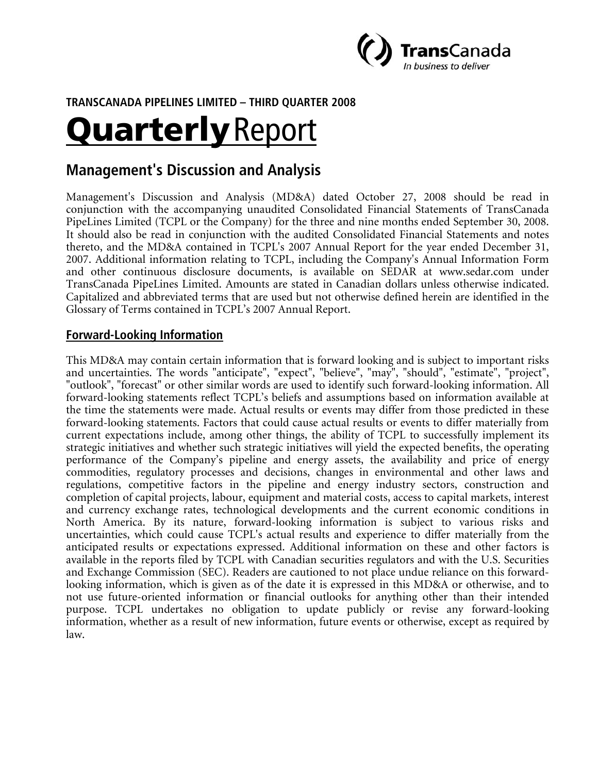

**TRANSCANADA PIPELINES LIMITED – THIRD QUARTER 2008** 

# **Quarterly Report**

# **Management's Discussion and Analysis**

Management's Discussion and Analysis (MD&A) dated October 27, 2008 should be read in conjunction with the accompanying unaudited Consolidated Financial Statements of TransCanada PipeLines Limited (TCPL or the Company) for the three and nine months ended September 30, 2008. It should also be read in conjunction with the audited Consolidated Financial Statements and notes thereto, and the MD&A contained in TCPL's 2007 Annual Report for the year ended December 31, 2007. Additional information relating to TCPL, including the Company's Annual Information Form and other continuous disclosure documents, is available on SEDAR at www.sedar.com under TransCanada PipeLines Limited. Amounts are stated in Canadian dollars unless otherwise indicated. Capitalized and abbreviated terms that are used but not otherwise defined herein are identified in the Glossary of Terms contained in TCPL's 2007 Annual Report.

# **Forward-Looking Information**

This MD&A may contain certain information that is forward looking and is subject to important risks and uncertainties. The words "anticipate", "expect", "believe", "may", "should", "estimate", "project", "outlook", "forecast" or other similar words are used to identify such forward-looking information. All forward-looking statements reflect TCPL's beliefs and assumptions based on information available at the time the statements were made. Actual results or events may differ from those predicted in these forward-looking statements. Factors that could cause actual results or events to differ materially from current expectations include, among other things, the ability of TCPL to successfully implement its strategic initiatives and whether such strategic initiatives will yield the expected benefits, the operating performance of the Company's pipeline and energy assets, the availability and price of energy commodities, regulatory processes and decisions, changes in environmental and other laws and regulations, competitive factors in the pipeline and energy industry sectors, construction and completion of capital projects, labour, equipment and material costs, access to capital markets, interest and currency exchange rates, technological developments and the current economic conditions in North America. By its nature, forward-looking information is subject to various risks and uncertainties, which could cause TCPL's actual results and experience to differ materially from the anticipated results or expectations expressed. Additional information on these and other factors is available in the reports filed by TCPL with Canadian securities regulators and with the U.S. Securities and Exchange Commission (SEC). Readers are cautioned to not place undue reliance on this forwardlooking information, which is given as of the date it is expressed in this MD&A or otherwise, and to not use future-oriented information or financial outlooks for anything other than their intended purpose. TCPL undertakes no obligation to update publicly or revise any forward-looking information, whether as a result of new information, future events or otherwise, except as required by law.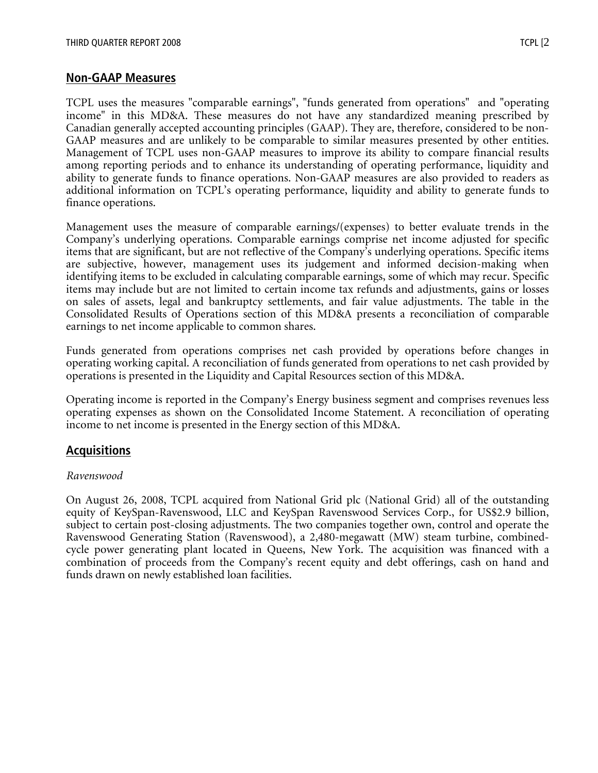## **Non-GAAP Measures**

TCPL uses the measures "comparable earnings", "funds generated from operations" and "operating income" in this MD&A. These measures do not have any standardized meaning prescribed by Canadian generally accepted accounting principles (GAAP). They are, therefore, considered to be non-GAAP measures and are unlikely to be comparable to similar measures presented by other entities. Management of TCPL uses non-GAAP measures to improve its ability to compare financial results among reporting periods and to enhance its understanding of operating performance, liquidity and ability to generate funds to finance operations. Non-GAAP measures are also provided to readers as additional information on TCPL's operating performance, liquidity and ability to generate funds to finance operations.

Management uses the measure of comparable earnings/(expenses) to better evaluate trends in the Company's underlying operations. Comparable earnings comprise net income adjusted for specific items that are significant, but are not reflective of the Company's underlying operations. Specific items are subjective, however, management uses its judgement and informed decision-making when identifying items to be excluded in calculating comparable earnings, some of which may recur. Specific items may include but are not limited to certain income tax refunds and adjustments, gains or losses on sales of assets, legal and bankruptcy settlements, and fair value adjustments. The table in the Consolidated Results of Operations section of this MD&A presents a reconciliation of comparable earnings to net income applicable to common shares.

Funds generated from operations comprises net cash provided by operations before changes in operating working capital. A reconciliation of funds generated from operations to net cash provided by operations is presented in the Liquidity and Capital Resources section of this MD&A.

Operating income is reported in the Company's Energy business segment and comprises revenues less operating expenses as shown on the Consolidated Income Statement. A reconciliation of operating income to net income is presented in the Energy section of this MD&A.

# **Acquisitions**

#### *Ravenswood*

On August 26, 2008, TCPL acquired from National Grid plc (National Grid) all of the outstanding equity of KeySpan-Ravenswood, LLC and KeySpan Ravenswood Services Corp., for US\$2.9 billion, subject to certain post-closing adjustments. The two companies together own, control and operate the Ravenswood Generating Station (Ravenswood), a 2,480-megawatt (MW) steam turbine, combinedcycle power generating plant located in Queens, New York. The acquisition was financed with a combination of proceeds from the Company's recent equity and debt offerings, cash on hand and funds drawn on newly established loan facilities.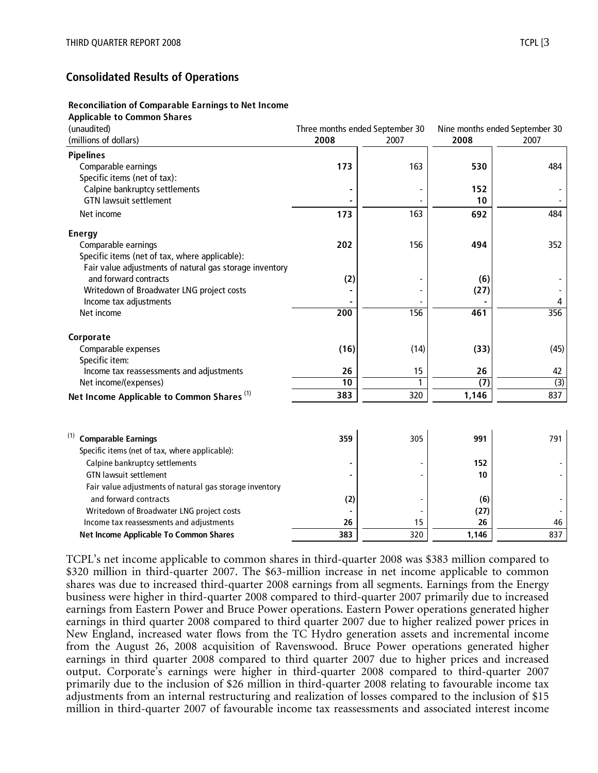## **Consolidated Results of Operations**

#### **Reconciliation of Comparable Earnings to Net Income**

#### **Applicable to Common Shares**

| (unaudited)                                             |                  | Three months ended September 30 | Nine months ended September 30 |      |  |
|---------------------------------------------------------|------------------|---------------------------------|--------------------------------|------|--|
| (millions of dollars)                                   | 2008             | 2007                            | 2008                           | 2007 |  |
| <b>Pipelines</b>                                        |                  |                                 |                                |      |  |
| Comparable earnings                                     | 173              | 163                             | 530                            | 484  |  |
| Specific items (net of tax):                            |                  |                                 |                                |      |  |
| Calpine bankruptcy settlements                          |                  |                                 | 152                            |      |  |
| <b>GTN lawsuit settlement</b>                           |                  |                                 | 10                             |      |  |
| Net income                                              | 173              | 163                             | 692                            | 484  |  |
| <b>Energy</b>                                           |                  |                                 |                                |      |  |
| Comparable earnings                                     | 202              | 156                             | 494                            | 352  |  |
| Specific items (net of tax, where applicable):          |                  |                                 |                                |      |  |
| Fair value adjustments of natural gas storage inventory |                  |                                 |                                |      |  |
| and forward contracts                                   | (2)              |                                 | (6)                            |      |  |
| Writedown of Broadwater LNG project costs               |                  |                                 | (27)                           |      |  |
| Income tax adjustments                                  |                  |                                 |                                | 4    |  |
| Net income                                              | $\overline{200}$ | 156                             | 461                            | 356  |  |
| Corporate                                               |                  |                                 |                                |      |  |
| Comparable expenses                                     | (16)             | (14)                            | (33)                           | (45) |  |
| Specific item:                                          |                  |                                 |                                |      |  |
| Income tax reassessments and adjustments                | 26               | 15                              | 26                             | 42   |  |
| Net income/(expenses)                                   | 10               | 1                               | $\overline{1}$                 | (3)  |  |
| Net Income Applicable to Common Shares <sup>(1)</sup>   | 383              | 320                             | 1,146                          | 837  |  |
|                                                         |                  |                                 |                                |      |  |
| <b>Comparable Earnings</b>                              | 359              | 305                             | 991                            | 791  |  |
| Specific items (net of tax, where applicable):          |                  |                                 |                                |      |  |
| Calpine bankruptcy settlements                          |                  |                                 | 152                            |      |  |
| <b>GTN lawsuit settlement</b>                           |                  |                                 | 10                             |      |  |
| Fair value adjustments of natural gas storage inventory |                  |                                 |                                |      |  |
| and forward contracts                                   | (2)              |                                 | (6)                            |      |  |
| Writedown of Broadwater LNG project costs               |                  |                                 | (27)                           |      |  |
| Income tax reassessments and adjustments                | 26               | 15                              | 26                             | 46   |  |
| Net Income Applicable To Common Shares                  | 383              | 320                             | 1,146                          | 837  |  |

TCPL's net income applicable to common shares in third-quarter 2008 was \$383 million compared to \$320 million in third-quarter 2007. The \$63-million increase in net income applicable to common shares was due to increased third-quarter 2008 earnings from all segments. Earnings from the Energy business were higher in third-quarter 2008 compared to third-quarter 2007 primarily due to increased earnings from Eastern Power and Bruce Power operations. Eastern Power operations generated higher earnings in third quarter 2008 compared to third quarter 2007 due to higher realized power prices in New England, increased water flows from the TC Hydro generation assets and incremental income from the August 26, 2008 acquisition of Ravenswood. Bruce Power operations generated higher earnings in third quarter 2008 compared to third quarter 2007 due to higher prices and increased output. Corporate's earnings were higher in third-quarter 2008 compared to third-quarter 2007 primarily due to the inclusion of \$26 million in third-quarter 2008 relating to favourable income tax adjustments from an internal restructuring and realization of losses compared to the inclusion of \$15 million in third-quarter 2007 of favourable income tax reassessments and associated interest income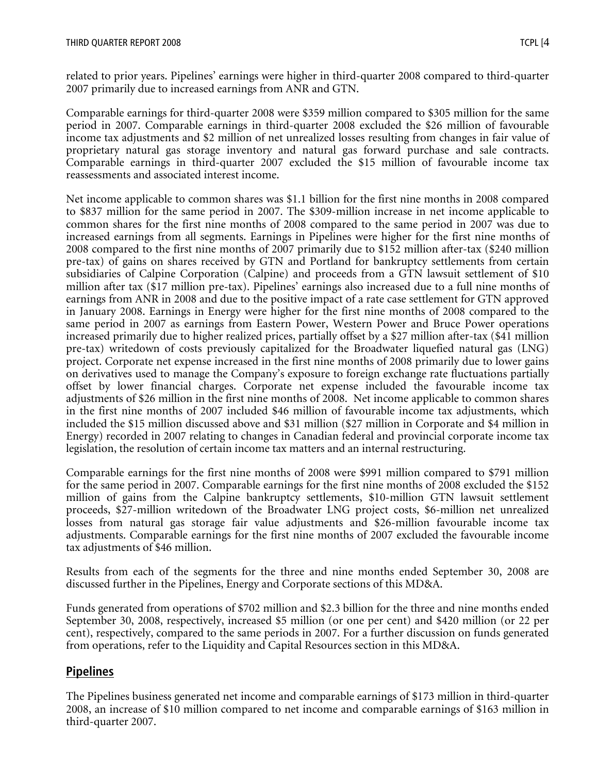related to prior years. Pipelines' earnings were higher in third-quarter 2008 compared to third-quarter 2007 primarily due to increased earnings from ANR and GTN.

Comparable earnings for third-quarter 2008 were \$359 million compared to \$305 million for the same period in 2007. Comparable earnings in third-quarter 2008 excluded the \$26 million of favourable income tax adjustments and \$2 million of net unrealized losses resulting from changes in fair value of proprietary natural gas storage inventory and natural gas forward purchase and sale contracts. Comparable earnings in third-quarter 2007 excluded the \$15 million of favourable income tax reassessments and associated interest income.

Net income applicable to common shares was \$1.1 billion for the first nine months in 2008 compared to \$837 million for the same period in 2007. The \$309-million increase in net income applicable to common shares for the first nine months of 2008 compared to the same period in 2007 was due to increased earnings from all segments. Earnings in Pipelines were higher for the first nine months of 2008 compared to the first nine months of 2007 primarily due to \$152 million after-tax (\$240 million pre-tax) of gains on shares received by GTN and Portland for bankruptcy settlements from certain subsidiaries of Calpine Corporation (Calpine) and proceeds from a GTN lawsuit settlement of \$10 million after tax (\$17 million pre-tax). Pipelines' earnings also increased due to a full nine months of earnings from ANR in 2008 and due to the positive impact of a rate case settlement for GTN approved in January 2008. Earnings in Energy were higher for the first nine months of 2008 compared to the same period in 2007 as earnings from Eastern Power, Western Power and Bruce Power operations increased primarily due to higher realized prices, partially offset by a \$27 million after-tax (\$41 million pre-tax) writedown of costs previously capitalized for the Broadwater liquefied natural gas (LNG) project. Corporate net expense increased in the first nine months of 2008 primarily due to lower gains on derivatives used to manage the Company's exposure to foreign exchange rate fluctuations partially offset by lower financial charges. Corporate net expense included the favourable income tax adjustments of \$26 million in the first nine months of 2008. Net income applicable to common shares in the first nine months of 2007 included \$46 million of favourable income tax adjustments, which included the \$15 million discussed above and \$31 million (\$27 million in Corporate and \$4 million in Energy) recorded in 2007 relating to changes in Canadian federal and provincial corporate income tax legislation, the resolution of certain income tax matters and an internal restructuring.

Comparable earnings for the first nine months of 2008 were \$991 million compared to \$791 million for the same period in 2007. Comparable earnings for the first nine months of 2008 excluded the \$152 million of gains from the Calpine bankruptcy settlements, \$10-million GTN lawsuit settlement proceeds, \$27-million writedown of the Broadwater LNG project costs, \$6-million net unrealized losses from natural gas storage fair value adjustments and \$26-million favourable income tax adjustments. Comparable earnings for the first nine months of 2007 excluded the favourable income tax adjustments of \$46 million.

Results from each of the segments for the three and nine months ended September 30, 2008 are discussed further in the Pipelines, Energy and Corporate sections of this MD&A.

Funds generated from operations of \$702 million and \$2.3 billion for the three and nine months ended September 30, 2008, respectively, increased \$5 million (or one per cent) and \$420 million (or 22 per cent), respectively, compared to the same periods in 2007. For a further discussion on funds generated from operations, refer to the Liquidity and Capital Resources section in this MD&A.

# **Pipelines**

The Pipelines business generated net income and comparable earnings of \$173 million in third-quarter 2008, an increase of \$10 million compared to net income and comparable earnings of \$163 million in third-quarter 2007.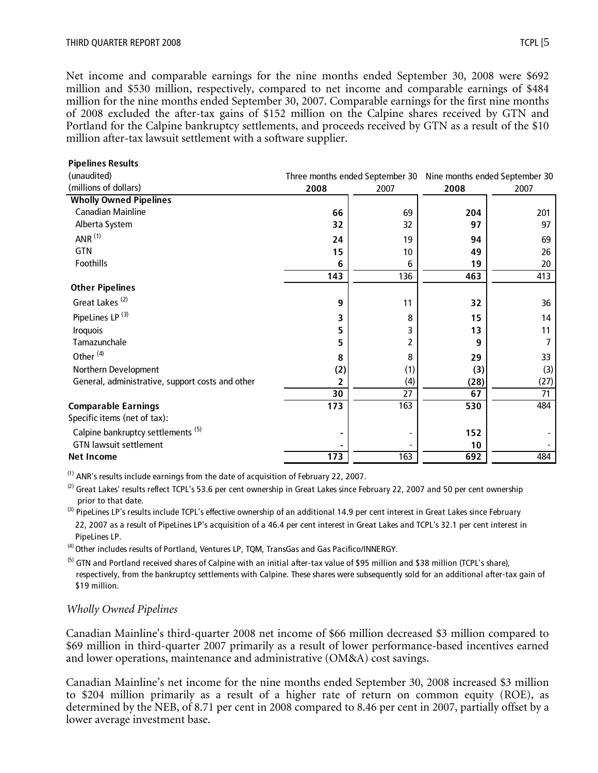Net income and comparable earnings for the nine months ended September 30, 2008 were \$692 million and \$530 million, respectively, compared to net income and comparable earnings of \$484 million for the nine months ended September 30, 2007. Comparable earnings for the first nine months of 2008 excluded the after-tax gains of \$152 million on the Calpine shares received by GTN and Portland for the Calpine bankruptcy settlements, and proceeds received by GTN as a result of the \$10 million after-tax lawsuit settlement with a software supplier.

| <b>Pipelines Results</b>                         |                                                                |      |      |      |
|--------------------------------------------------|----------------------------------------------------------------|------|------|------|
| (unaudited)                                      | Three months ended September 30 Nine months ended September 30 |      |      |      |
| (millions of dollars)                            | 2008                                                           | 2007 | 2008 | 2007 |
| <b>Wholly Owned Pipelines</b>                    |                                                                |      |      |      |
| <b>Canadian Mainline</b>                         | 66                                                             | 69   | 204  | 201  |
| Alberta System                                   | 32                                                             | 32   | 97   | 97   |
| ANR $(1)$                                        | 24                                                             | 19   | 94   | 69   |
| GTN                                              | 15                                                             | 10   | 49   | 26   |
| Foothills                                        | 6                                                              | 6    | 19   | 20   |
|                                                  | 143                                                            | 136  | 463  | 413  |
| <b>Other Pipelines</b>                           |                                                                |      |      |      |
| Great Lakes <sup>(2)</sup>                       | 9                                                              | 11   | 32   | 36   |
| PipeLines LP <sup>(3)</sup>                      | 3                                                              | 8    | 15   | 14   |
| <b>Iroquois</b>                                  | 5                                                              | 3    | 13   | 11   |
| Tamazunchale                                     | 5                                                              | 2    | 9    | 7    |
| Other <sup>(4)</sup>                             | 8                                                              | 8    | 29   | 33   |
| Northern Development                             | (2)                                                            | (1)  | (3)  | (3)  |
| General, administrative, support costs and other | 2                                                              | (4)  | (28) | (27) |
|                                                  | 30                                                             | 27   | 67   | 71   |
| <b>Comparable Earnings</b>                       | $\frac{1}{173}$                                                | 163  | 530  | 484  |
| Specific items (net of tax):                     |                                                                |      |      |      |
| Calpine bankruptcy settlements <sup>(5)</sup>    |                                                                |      | 152  |      |
| <b>GTN lawsuit settlement</b>                    |                                                                |      | 10   |      |
| <b>Net Income</b>                                | $\overline{173}$                                               | 163  | 692  | 484  |

 $(1)$  ANR's results include earnings from the date of acquisition of February 22, 2007.

 $^{(2)}$  Great Lakes' results reflect TCPL's 53.6 per cent ownership in Great Lakes since February 22, 2007 and 50 per cent ownership prior to that date.

<sup>(3)</sup> PipeLines LP's results include TCPL's effective ownership of an additional 14.9 per cent interest in Great Lakes since February 22, 2007 as a result of PipeLines LP's acquisition of a 46.4 per cent interest in Great Lakes and TCPL's 32.1 per cent interest in PipeLines LP.

 $<sup>(4)</sup>$  Other includes results of Portland, Ventures LP, TQM, TransGas and Gas Pacifico/INNERGY.</sup>

 $<sup>(5)</sup>$  GTN and Portland received shares of Calpine with an initial after-tax value of \$95 million and \$38 million (TCPL's share),</sup> respectively, from the bankruptcy settlements with Calpine. These shares were subsequently sold for an additional after-tax gain of \$19 million.

#### *Wholly Owned Pipelines*

Canadian Mainline's third-quarter 2008 net income of \$66 million decreased \$3 million compared to \$69 million in third-quarter 2007 primarily as a result of lower performance-based incentives earned and lower operations, maintenance and administrative (OM&A) cost savings.

Canadian Mainline's net income for the nine months ended September 30, 2008 increased \$3 million to \$204 million primarily as a result of a higher rate of return on common equity (ROE), as determined by the NEB, of 8.71 per cent in 2008 compared to 8.46 per cent in 2007, partially offset by a lower average investment base.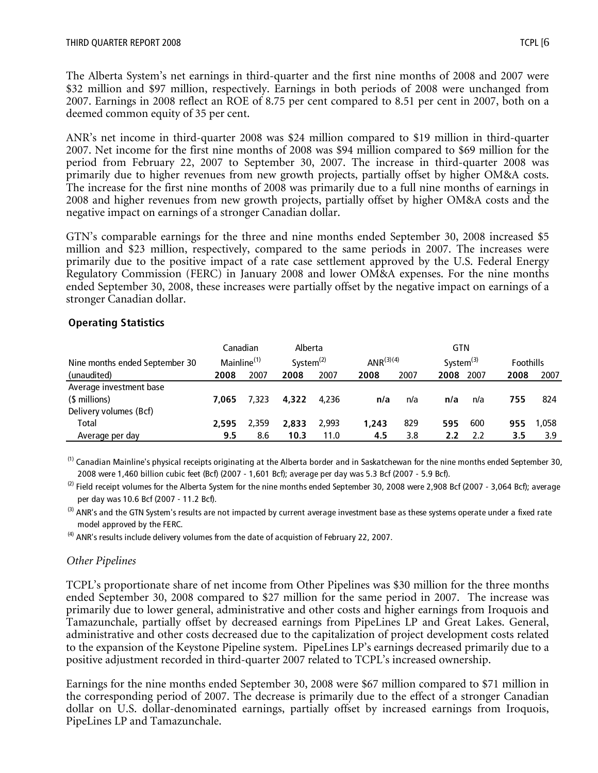The Alberta System's net earnings in third-quarter and the first nine months of 2008 and 2007 were \$32 million and \$97 million, respectively. Earnings in both periods of 2008 were unchanged from 2007. Earnings in 2008 reflect an ROE of 8.75 per cent compared to 8.51 per cent in 2007, both on a deemed common equity of 35 per cent.

ANR's net income in third-quarter 2008 was \$24 million compared to \$19 million in third-quarter 2007. Net income for the first nine months of 2008 was \$94 million compared to \$69 million for the period from February 22, 2007 to September 30, 2007. The increase in third-quarter 2008 was primarily due to higher revenues from new growth projects, partially offset by higher OM&A costs. The increase for the first nine months of 2008 was primarily due to a full nine months of earnings in 2008 and higher revenues from new growth projects, partially offset by higher OM&A costs and the negative impact on earnings of a stronger Canadian dollar.

GTN's comparable earnings for the three and nine months ended September 30, 2008 increased \$5 million and \$23 million, respectively, compared to the same periods in 2007. The increases were primarily due to the positive impact of a rate case settlement approved by the U.S. Federal Energy Regulatory Commission (FERC) in January 2008 and lower OM&A expenses. For the nine months ended September 30, 2008, these increases were partially offset by the negative impact on earnings of a stronger Canadian dollar.

#### **Operating Statistics**

|                                | Canadian                |       | Alberta      |       |                 |      | <b>GTN</b>      |      |                  |       |
|--------------------------------|-------------------------|-------|--------------|-------|-----------------|------|-----------------|------|------------------|-------|
| Nine months ended September 30 | Mainline <sup>(1)</sup> |       | System $(2)$ |       | ANR $^{(3)(4)}$ |      | System $^{(3)}$ |      | <b>Foothills</b> |       |
| (unaudited)                    | 2008                    | 2007  | 2008         | 2007  | 2008            | 2007 | 2008            | 2007 | 2008             | 2007  |
| Average investment base        |                         |       |              |       |                 |      |                 |      |                  |       |
| (\$ millions)                  | 7.065                   | 7.323 | 4,322        | 4.236 | n/a             | n/a  | n/a             | n/a  | 755              | 824   |
| Delivery volumes (Bcf)         |                         |       |              |       |                 |      |                 |      |                  |       |
| Total                          | 2.595                   | 2.359 | 2.833        | 2.993 | 1.243           | 829  | 595             | 600  | 955              | 1.058 |
| Average per day                | 9.5                     | 8.6   | 10.3         | 11.0  | 4.5             | 3.8  | 2.2             | 2.2  | 3.5              | 3.9   |

 $<sup>(1)</sup>$  Canadian Mainline's physical receipts originating at the Alberta border and in Saskatchewan for the nine months ended September 30,</sup> 2008 were 1,460 billion cubic feet (Bcf) (2007 - 1,601 Bcf); average per day was 5.3 Bcf (2007 - 5.9 Bcf).

 $^{(2)}$  Field receipt volumes for the Alberta System for the nine months ended September 30, 2008 were 2,908 Bcf (2007 - 3,064 Bcf); average per day was 10.6 Bcf (2007 - 11.2 Bcf).

 $^{(3)}$  ANR's and the GTN System's results are not impacted by current average investment base as these systems operate under a fixed rate model approved by the FERC.

 $<sup>(4)</sup>$  ANR's results include delivery volumes from the date of acquistion of February 22, 2007.</sup>

## *Other Pipelines*

TCPL's proportionate share of net income from Other Pipelines was \$30 million for the three months ended September 30, 2008 compared to \$27 million for the same period in 2007. The increase was primarily due to lower general, administrative and other costs and higher earnings from Iroquois and Tamazunchale, partially offset by decreased earnings from PipeLines LP and Great Lakes. General, administrative and other costs decreased due to the capitalization of project development costs related to the expansion of the Keystone Pipeline system. PipeLines LP's earnings decreased primarily due to a positive adjustment recorded in third-quarter 2007 related to TCPL's increased ownership.

Earnings for the nine months ended September 30, 2008 were \$67 million compared to \$71 million in the corresponding period of 2007. The decrease is primarily due to the effect of a stronger Canadian dollar on U.S. dollar-denominated earnings, partially offset by increased earnings from Iroquois, PipeLines LP and Tamazunchale.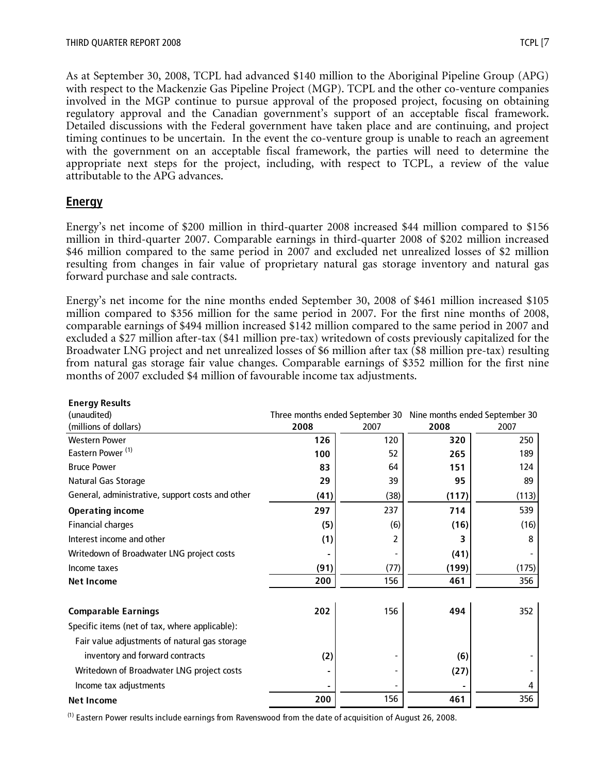As at September 30, 2008, TCPL had advanced \$140 million to the Aboriginal Pipeline Group (APG) with respect to the Mackenzie Gas Pipeline Project (MGP). TCPL and the other co-venture companies involved in the MGP continue to pursue approval of the proposed project, focusing on obtaining regulatory approval and the Canadian government's support of an acceptable fiscal framework. Detailed discussions with the Federal government have taken place and are continuing, and project timing continues to be uncertain. In the event the co-venture group is unable to reach an agreement with the government on an acceptable fiscal framework, the parties will need to determine the appropriate next steps for the project, including, with respect to TCPL, a review of the value attributable to the APG advances.

# **Energy**

Energy's net income of \$200 million in third-quarter 2008 increased \$44 million compared to \$156 million in third-quarter 2007. Comparable earnings in third-quarter 2008 of \$202 million increased \$46 million compared to the same period in 2007 and excluded net unrealized losses of \$2 million resulting from changes in fair value of proprietary natural gas storage inventory and natural gas forward purchase and sale contracts.

Energy's net income for the nine months ended September 30, 2008 of \$461 million increased \$105 million compared to \$356 million for the same period in 2007. For the first nine months of 2008, comparable earnings of \$494 million increased \$142 million compared to the same period in 2007 and excluded a \$27 million after-tax (\$41 million pre-tax) writedown of costs previously capitalized for the Broadwater LNG project and net unrealized losses of \$6 million after tax (\$8 million pre-tax) resulting from natural gas storage fair value changes. Comparable earnings of \$352 million for the first nine months of 2007 excluded \$4 million of favourable income tax adjustments.

| <b>Energy Results</b>                            |                                                                |      |       |       |
|--------------------------------------------------|----------------------------------------------------------------|------|-------|-------|
| (unaudited)                                      | Three months ended September 30 Nine months ended September 30 |      |       |       |
| (millions of dollars)                            | 2008                                                           | 2007 | 2008  | 2007  |
| <b>Western Power</b>                             | 126                                                            | 120  | 320   | 250   |
| Eastern Power <sup>(1)</sup>                     | 100                                                            | 52   | 265   | 189   |
| <b>Bruce Power</b>                               | 83                                                             | 64   | 151   | 124   |
| Natural Gas Storage                              | 29                                                             | 39   | 95    | 89    |
| General, administrative, support costs and other | (41)                                                           | (38) | (117) | (113) |
| <b>Operating income</b>                          | 297                                                            | 237  | 714   | 539   |
| <b>Financial charges</b>                         | (5)                                                            | (6)  | (16)  | (16)  |
| Interest income and other                        | (1)                                                            | 2    | 3     | 8     |
| Writedown of Broadwater LNG project costs        |                                                                |      | (41)  |       |
| Income taxes                                     | (91)                                                           | (77) | (199) | (175) |
| <b>Net Income</b>                                | 200                                                            | 156  | 461   | 356   |
| <b>Comparable Earnings</b>                       | 202                                                            | 156  | 494   | 352   |
| Specific items (net of tax, where applicable):   |                                                                |      |       |       |
| Fair value adjustments of natural gas storage    |                                                                |      |       |       |
| inventory and forward contracts                  | (2)                                                            |      | (6)   |       |
| Writedown of Broadwater LNG project costs        |                                                                |      | (27)  |       |
| Income tax adjustments                           |                                                                |      |       | 4     |
| <b>Net Income</b>                                | 200                                                            | 156  | 461   | 356   |

(1) Eastern Power results include earnings from Ravenswood from the date of acquisition of August 26, 2008.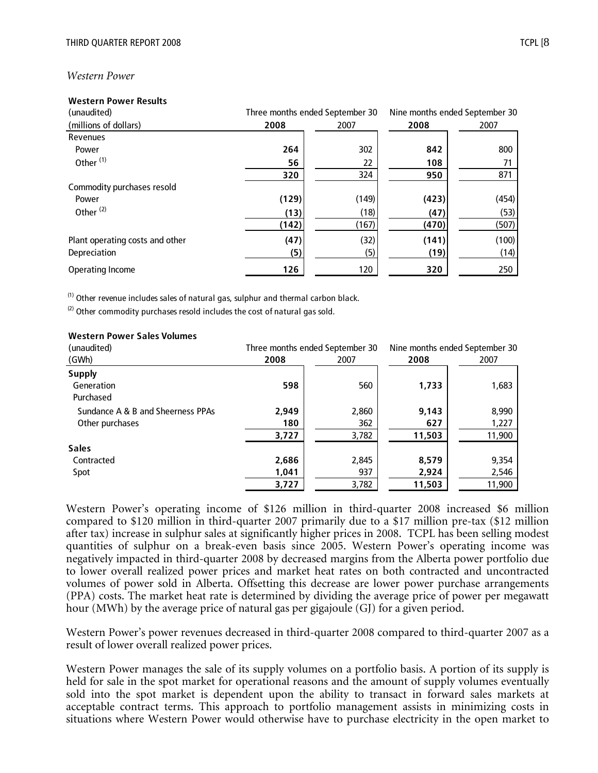#### *Western Power*

#### **Western Power Results**

| (unaudited)                     | Three months ended September 30 |       |       | Nine months ended September 30 |
|---------------------------------|---------------------------------|-------|-------|--------------------------------|
| (millions of dollars)           | 2008                            | 2007  | 2008  | 2007                           |
| Revenues                        |                                 |       |       |                                |
| Power                           | 264                             | 302   | 842   | 800                            |
| Other <sup>(1)</sup>            | 56                              | 22    | 108   |                                |
|                                 | 320                             | 324   | 950   | 871                            |
| Commodity purchases resold      |                                 |       |       |                                |
| Power                           | (129)                           | (149) | (423) | (454)                          |
| Other $(2)$                     | (13)                            | (18)  | (47)  | (53)                           |
|                                 | (142)                           | (167) | (470) | (507)                          |
| Plant operating costs and other | (47)                            | (32)  | (141) | (100)                          |
| Depreciation                    | (5)                             | (5)   | (19)  | (14)                           |
| Operating Income                | 126                             | 120   | 320   | 250                            |

 $(1)$  Other revenue includes sales of natural gas, sulphur and thermal carbon black.

 $(2)$  Other commodity purchases resold includes the cost of natural gas sold.

#### **Western Power Sales Volumes**

| (unaudited)                       | Three months ended September 30 |       | Nine months ended September 30 |        |
|-----------------------------------|---------------------------------|-------|--------------------------------|--------|
| (GWh)                             | 2008                            | 2007  | 2008                           | 2007   |
| <b>Supply</b>                     |                                 |       |                                |        |
| Generation<br>Purchased           | 598                             | 560   | 1,733                          | 1,683  |
| Sundance A & B and Sheerness PPAs | 2,949                           | 2,860 | 9,143                          | 8,990  |
| Other purchases                   | 180                             | 362   | 627                            | 1,227  |
|                                   | 3,727                           | 3,782 | 11,503                         | 11,900 |
| <b>Sales</b>                      |                                 |       |                                |        |
| Contracted                        | 2,686                           | 2,845 | 8,579                          | 9,354  |
| Spot                              | 1,041                           | 937   | 2,924                          | 2,546  |
|                                   | 3,727                           | 3,782 | 11,503                         | 11,900 |

Western Power's operating income of \$126 million in third-quarter 2008 increased \$6 million compared to \$120 million in third-quarter 2007 primarily due to a \$17 million pre-tax (\$12 million after tax) increase in sulphur sales at significantly higher prices in 2008. TCPL has been selling modest quantities of sulphur on a break-even basis since 2005. Western Power's operating income was negatively impacted in third-quarter 2008 by decreased margins from the Alberta power portfolio due to lower overall realized power prices and market heat rates on both contracted and uncontracted volumes of power sold in Alberta. Offsetting this decrease are lower power purchase arrangements (PPA) costs. The market heat rate is determined by dividing the average price of power per megawatt hour (MWh) by the average price of natural gas per gigajoule (GJ) for a given period.

Western Power's power revenues decreased in third-quarter 2008 compared to third-quarter 2007 as a result of lower overall realized power prices.

Western Power manages the sale of its supply volumes on a portfolio basis. A portion of its supply is held for sale in the spot market for operational reasons and the amount of supply volumes eventually sold into the spot market is dependent upon the ability to transact in forward sales markets at acceptable contract terms. This approach to portfolio management assists in minimizing costs in situations where Western Power would otherwise have to purchase electricity in the open market to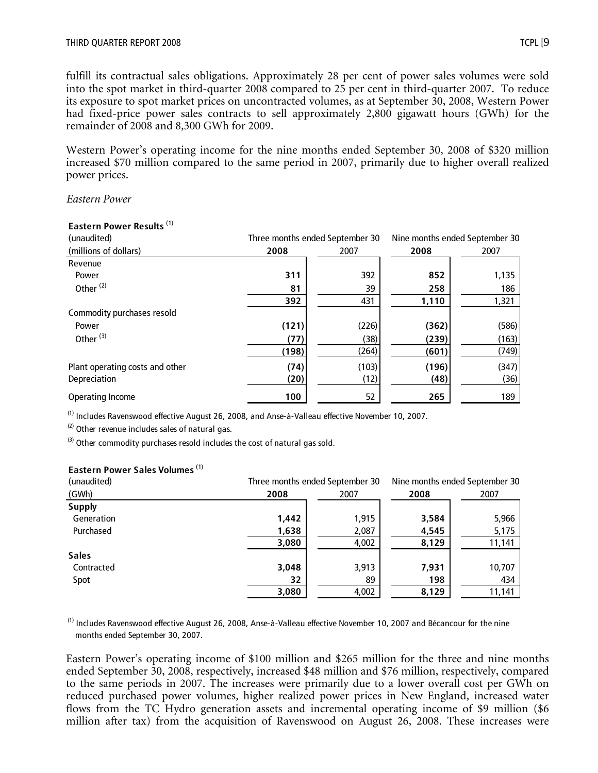fulfill its contractual sales obligations. Approximately 28 per cent of power sales volumes were sold into the spot market in third-quarter 2008 compared to 25 per cent in third-quarter 2007. To reduce its exposure to spot market prices on uncontracted volumes, as at September 30, 2008, Western Power had fixed-price power sales contracts to sell approximately 2,800 gigawatt hours (GWh) for the remainder of 2008 and 8,300 GWh for 2009.

Western Power's operating income for the nine months ended September 30, 2008 of \$320 million increased \$70 million compared to the same period in 2007, primarily due to higher overall realized power prices.

*Eastern Power* 

| Edstern Power Results           |       |                                 |       |                                |  |  |
|---------------------------------|-------|---------------------------------|-------|--------------------------------|--|--|
| (unaudited)                     |       | Three months ended September 30 |       | Nine months ended September 30 |  |  |
| (millions of dollars)           | 2008  | 2007                            | 2008  | 2007                           |  |  |
| Revenue                         |       |                                 |       |                                |  |  |
| Power                           | 311   | 392                             | 852   | 1,135                          |  |  |
| Other <sup>(2)</sup>            | 81    | 39                              | 258   | 186                            |  |  |
|                                 | 392   | 431                             | 1,110 | 1,321                          |  |  |
| Commodity purchases resold      |       |                                 |       |                                |  |  |
| Power                           | (121) | (226)                           | (362) | (586)                          |  |  |
| Other <sup>(3)</sup>            | (77)  | (38)                            | (239) | (163)                          |  |  |
|                                 | (198) | (264)                           | (601) | (749)                          |  |  |
| Plant operating costs and other | (74)  | (103)                           | (196) | (347)                          |  |  |
| Depreciation                    | (20)  | (12)                            | (48)  | (36)                           |  |  |
| Operating Income                | 100   | 52                              | 265   | 189                            |  |  |

# **Eastern Power Results** (1)

(1) Includes Ravenswood effective August 26, 2008, and Anse-à-Valleau effective November 10, 2007.

 $(2)$  Other revenue includes sales of natural gas.

 $^{(3)}$  Other commodity purchases resold includes the cost of natural gas sold.

#### **Eastern Power Sales Volumes** (1)

| (unaudited)   |       | Three months ended September 30 | Nine months ended September 30 |        |  |
|---------------|-------|---------------------------------|--------------------------------|--------|--|
| (GWh)         | 2008  | 2007                            | 2008                           | 2007   |  |
| <b>Supply</b> |       |                                 |                                |        |  |
| Generation    | 1,442 | 1,915                           | 3,584                          | 5,966  |  |
| Purchased     | 1,638 | 2,087                           | 4,545                          | 5,175  |  |
|               | 3,080 | 4,002                           | 8,129                          | 11,141 |  |
| <b>Sales</b>  |       |                                 |                                |        |  |
| Contracted    | 3,048 | 3,913                           | 7,931                          | 10,707 |  |
| Spot          | 32    | 89                              | 198                            | 434    |  |
|               | 3,080 | 4,002                           | 8,129                          | 11,141 |  |

(1) Includes Ravenswood effective August 26, 2008, Anse-à-Valleau effective November 10, 2007 and Bécancour for the nine months ended September 30, 2007.

Eastern Power's operating income of \$100 million and \$265 million for the three and nine months ended September 30, 2008, respectively, increased \$48 million and \$76 million, respectively, compared to the same periods in 2007. The increases were primarily due to a lower overall cost per GWh on reduced purchased power volumes, higher realized power prices in New England, increased water flows from the TC Hydro generation assets and incremental operating income of \$9 million (\$6 million after tax) from the acquisition of Ravenswood on August 26, 2008. These increases were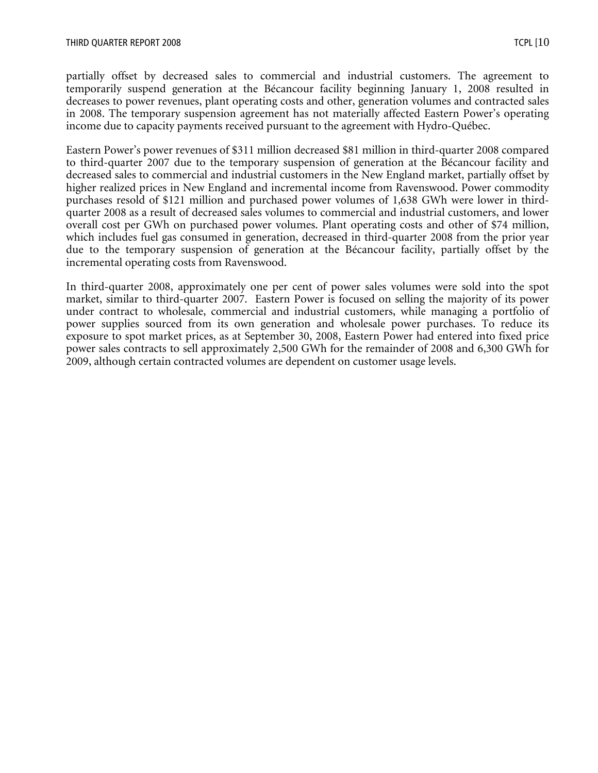partially offset by decreased sales to commercial and industrial customers. The agreement to temporarily suspend generation at the Bécancour facility beginning January 1, 2008 resulted in decreases to power revenues, plant operating costs and other, generation volumes and contracted sales in 2008. The temporary suspension agreement has not materially affected Eastern Power's operating income due to capacity payments received pursuant to the agreement with Hydro-Québec.

Eastern Power's power revenues of \$311 million decreased \$81 million in third-quarter 2008 compared to third-quarter 2007 due to the temporary suspension of generation at the Bécancour facility and decreased sales to commercial and industrial customers in the New England market, partially offset by higher realized prices in New England and incremental income from Ravenswood. Power commodity purchases resold of \$121 million and purchased power volumes of 1,638 GWh were lower in thirdquarter 2008 as a result of decreased sales volumes to commercial and industrial customers, and lower overall cost per GWh on purchased power volumes. Plant operating costs and other of \$74 million, which includes fuel gas consumed in generation, decreased in third-quarter 2008 from the prior year due to the temporary suspension of generation at the Bécancour facility, partially offset by the incremental operating costs from Ravenswood.

In third-quarter 2008, approximately one per cent of power sales volumes were sold into the spot market, similar to third-quarter 2007. Eastern Power is focused on selling the majority of its power under contract to wholesale, commercial and industrial customers, while managing a portfolio of power supplies sourced from its own generation and wholesale power purchases. To reduce its exposure to spot market prices, as at September 30, 2008, Eastern Power had entered into fixed price power sales contracts to sell approximately 2,500 GWh for the remainder of 2008 and 6,300 GWh for 2009, although certain contracted volumes are dependent on customer usage levels.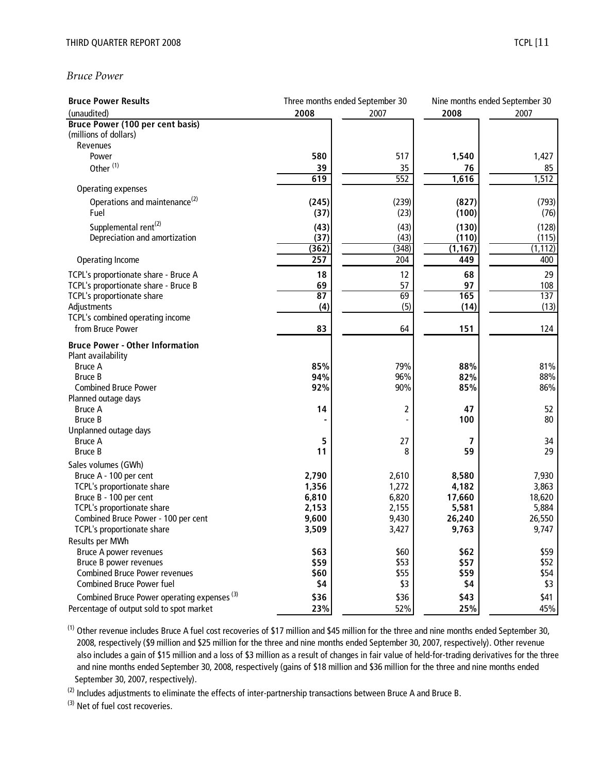#### *Bruce Power*

| <b>Bruce Power Results</b>                             | Three months ended September 30 |       | Nine months ended September 30 |          |
|--------------------------------------------------------|---------------------------------|-------|--------------------------------|----------|
| (unaudited)                                            | 2008                            | 2007  | 2008                           | 2007     |
| <b>Bruce Power (100 per cent basis)</b>                |                                 |       |                                |          |
| (millions of dollars)                                  |                                 |       |                                |          |
| Revenues                                               |                                 |       |                                |          |
| Power                                                  | 580                             | 517   | 1,540                          | 1,427    |
| Other <sup>(1)</sup>                                   | 39                              | 35    | 76                             | 85       |
|                                                        | 619                             | 552   | 1,616                          | 1,512    |
| Operating expenses                                     |                                 |       |                                |          |
| Operations and maintenance <sup>(2)</sup>              | (245)                           | (239) | (827)                          | (793)    |
| Fuel                                                   | (37)                            | (23)  | (100)                          | (76)     |
| Supplemental rent <sup>(2)</sup>                       | (43)                            | (43)  | (130)                          | (128)    |
| Depreciation and amortization                          | (37)                            | (43)  | (110)                          | (115)    |
|                                                        | (362)                           | (348) | (1, 167)                       | (1, 112) |
| Operating Income                                       | 257                             | 204   | 449                            | 400      |
| TCPL's proportionate share - Bruce A                   | 18                              | 12    | 68                             | 29       |
| TCPL's proportionate share - Bruce B                   | 69                              | 57    | 97                             | 108      |
| TCPL's proportionate share                             | 87                              | 69    | 165                            | 137      |
| Adjustments                                            | (4)                             | (5)   | (14)                           | (13)     |
| TCPL's combined operating income                       |                                 |       |                                |          |
| from Bruce Power                                       | 83                              | 64    | 151                            | 124      |
| <b>Bruce Power - Other Information</b>                 |                                 |       |                                |          |
| Plant availability                                     |                                 |       |                                |          |
| <b>Bruce A</b>                                         | 85%                             | 79%   | 88%                            | 81%      |
| <b>Bruce B</b>                                         | 94%                             | 96%   | 82%                            | 88%      |
| <b>Combined Bruce Power</b>                            | 92%                             | 90%   | 85%                            | 86%      |
| Planned outage days                                    |                                 |       |                                |          |
| <b>Bruce A</b>                                         | 14                              | 2     | 47                             | 52       |
| <b>Bruce B</b>                                         |                                 |       | 100                            | 80       |
| Unplanned outage days                                  |                                 |       |                                |          |
| <b>Bruce A</b>                                         | 5                               | 27    | 7                              | 34       |
| <b>Bruce B</b>                                         | 11                              | 8     | 59                             | 29       |
| Sales volumes (GWh)                                    |                                 |       |                                |          |
| Bruce A - 100 per cent                                 | 2,790                           | 2,610 | 8,580                          | 7,930    |
| TCPL's proportionate share                             | 1,356                           | 1,272 | 4,182                          | 3,863    |
| Bruce B - 100 per cent                                 | 6,810                           | 6,820 | 17,660                         | 18,620   |
| TCPL's proportionate share                             | 2,153                           | 2,155 | 5,581                          | 5,884    |
| Combined Bruce Power - 100 per cent                    | 9,600                           | 9,430 | 26,240                         | 26,550   |
| TCPL's proportionate share                             | 3,509                           | 3,427 | 9,763                          | 9,747    |
| Results per MWh                                        |                                 |       |                                |          |
| <b>Bruce A power revenues</b>                          | \$63                            | \$60  | \$62                           | \$59     |
| Bruce B power revenues                                 | \$59                            | \$53  | \$57                           | \$52     |
| <b>Combined Bruce Power revenues</b>                   | \$60                            | \$55  | \$59                           | \$54     |
| <b>Combined Bruce Power fuel</b>                       | \$4                             | \$3   | \$4                            | \$3      |
| Combined Bruce Power operating expenses <sup>(3)</sup> | \$36                            | \$36  | \$43                           | \$41     |
| Percentage of output sold to spot market               | 23%                             | 52%   | 25%                            | 45%      |

(1) Other revenue includes Bruce A fuel cost recoveries of \$17 million and \$45 million for the three and nine months ended September 30, 2008, respectively (\$9 million and \$25 million for the three and nine months ended September 30, 2007, respectively). Other revenue also includes a gain of \$15 million and a loss of \$3 million as a result of changes in fair value of held-for-trading derivatives for the three and nine months ended September 30, 2008, respectively (gains of \$18 million and \$36 million for the three and nine months ended September 30, 2007, respectively).

<sup>(2)</sup> Includes adjustments to eliminate the effects of inter-partnership transactions between Bruce A and Bruce B.

(3) Net of fuel cost recoveries.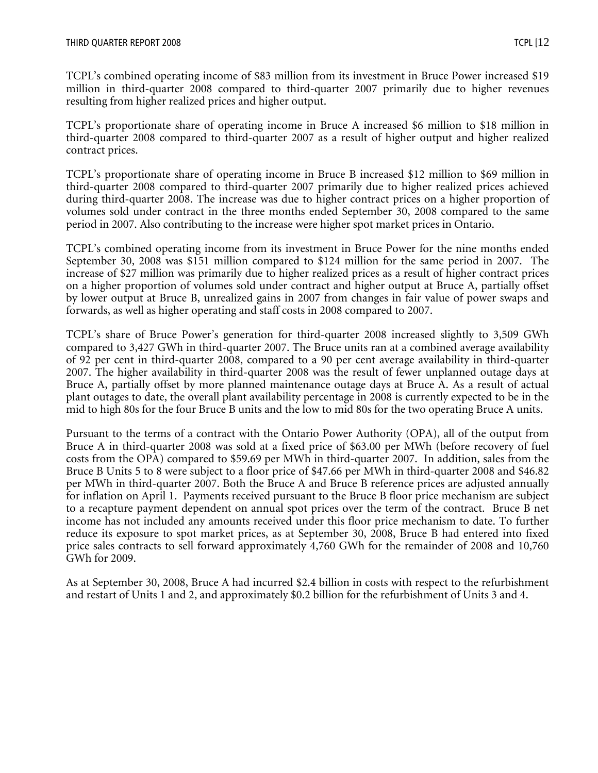TCPL's combined operating income of \$83 million from its investment in Bruce Power increased \$19 million in third-quarter 2008 compared to third-quarter 2007 primarily due to higher revenues resulting from higher realized prices and higher output.

TCPL's proportionate share of operating income in Bruce A increased \$6 million to \$18 million in third-quarter 2008 compared to third-quarter 2007 as a result of higher output and higher realized contract prices.

TCPL's proportionate share of operating income in Bruce B increased \$12 million to \$69 million in third-quarter 2008 compared to third-quarter 2007 primarily due to higher realized prices achieved during third-quarter 2008. The increase was due to higher contract prices on a higher proportion of volumes sold under contract in the three months ended September 30, 2008 compared to the same period in 2007. Also contributing to the increase were higher spot market prices in Ontario.

TCPL's combined operating income from its investment in Bruce Power for the nine months ended September 30, 2008 was \$151 million compared to \$124 million for the same period in 2007. The increase of \$27 million was primarily due to higher realized prices as a result of higher contract prices on a higher proportion of volumes sold under contract and higher output at Bruce A, partially offset by lower output at Bruce B, unrealized gains in 2007 from changes in fair value of power swaps and forwards, as well as higher operating and staff costs in 2008 compared to 2007.

TCPL's share of Bruce Power's generation for third-quarter 2008 increased slightly to 3,509 GWh compared to 3,427 GWh in third-quarter 2007. The Bruce units ran at a combined average availability of 92 per cent in third-quarter 2008, compared to a 90 per cent average availability in third-quarter 2007. The higher availability in third-quarter 2008 was the result of fewer unplanned outage days at Bruce A, partially offset by more planned maintenance outage days at Bruce A. As a result of actual plant outages to date, the overall plant availability percentage in 2008 is currently expected to be in the mid to high 80s for the four Bruce B units and the low to mid 80s for the two operating Bruce A units.

Pursuant to the terms of a contract with the Ontario Power Authority (OPA), all of the output from Bruce A in third-quarter 2008 was sold at a fixed price of \$63.00 per MWh (before recovery of fuel costs from the OPA) compared to \$59.69 per MWh in third-quarter 2007. In addition, sales from the Bruce B Units 5 to 8 were subject to a floor price of \$47.66 per MWh in third-quarter 2008 and \$46.82 per MWh in third-quarter 2007. Both the Bruce A and Bruce B reference prices are adjusted annually for inflation on April 1. Payments received pursuant to the Bruce B floor price mechanism are subject to a recapture payment dependent on annual spot prices over the term of the contract. Bruce B net income has not included any amounts received under this floor price mechanism to date. To further reduce its exposure to spot market prices, as at September 30, 2008, Bruce B had entered into fixed price sales contracts to sell forward approximately 4,760 GWh for the remainder of 2008 and 10,760 GWh for 2009.

As at September 30, 2008, Bruce A had incurred \$2.4 billion in costs with respect to the refurbishment and restart of Units 1 and 2, and approximately \$0.2 billion for the refurbishment of Units 3 and 4.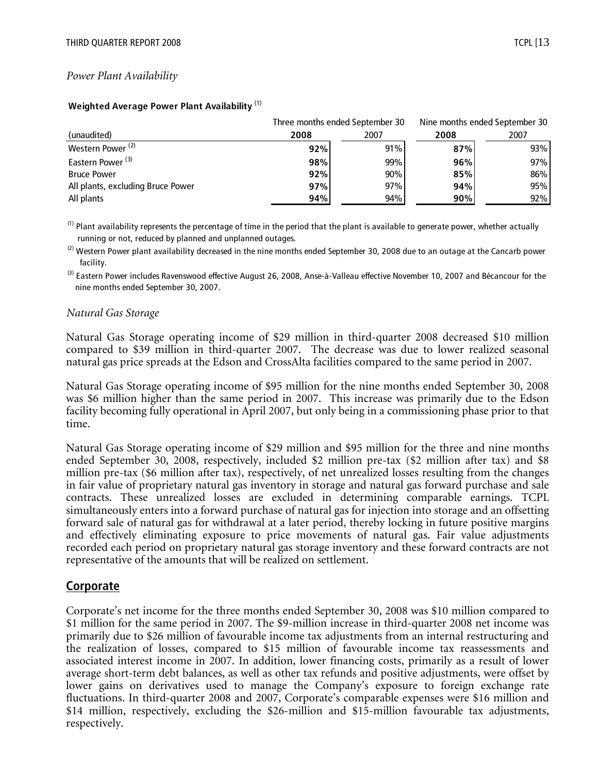#### *Power Plant Availability*

|                                   |      | Three months ended September 30 | Nine months ended September 30 |      |
|-----------------------------------|------|---------------------------------|--------------------------------|------|
| (unaudited)                       | 2008 | 2007                            | 2008                           | 2007 |
| Western Power <sup>(2)</sup>      | 92%  | 91%                             | 87%                            | 93%  |
| Eastern Power <sup>(3)</sup>      | 98%  | 99%                             | 96%                            | 97%  |
| <b>Bruce Power</b>                | 92%  | 90%                             | 85%                            | 86%  |
| All plants, excluding Bruce Power | 97%  | 97%                             | 94%                            | 95%  |
| All plants                        | 94%  | 94%                             | 90%                            | 92%  |

#### **Weighted Average Power Plant Availability** (1)

 $<sup>(1)</sup>$  Plant availability represents the percentage of time in the period that the plant is available to generate power, whether actually</sup> running or not, reduced by planned and unplanned outages.

 $^{(2)}$  Western Power plant availability decreased in the nine months ended September 30, 2008 due to an outage at the Cancarb power facility.

<sup>(3)</sup> Eastern Power includes Ravenswood effective August 26, 2008, Anse-à-Valleau effective November 10, 2007 and Bécancour for the nine months ended September 30, 2007.

#### *Natural Gas Storage*

Natural Gas Storage operating income of \$29 million in third-quarter 2008 decreased \$10 million compared to \$39 million in third-quarter 2007. The decrease was due to lower realized seasonal natural gas price spreads at the Edson and CrossAlta facilities compared to the same period in 2007.

Natural Gas Storage operating income of \$95 million for the nine months ended September 30, 2008 was \$6 million higher than the same period in 2007. This increase was primarily due to the Edson facility becoming fully operational in April 2007, but only being in a commissioning phase prior to that time.

Natural Gas Storage operating income of \$29 million and \$95 million for the three and nine months ended September 30, 2008, respectively, included \$2 million pre-tax (\$2 million after tax) and \$8 million pre-tax (\$6 million after tax), respectively, of net unrealized losses resulting from the changes in fair value of proprietary natural gas inventory in storage and natural gas forward purchase and sale contracts. These unrealized losses are excluded in determining comparable earnings. TCPL simultaneously enters into a forward purchase of natural gas for injection into storage and an offsetting forward sale of natural gas for withdrawal at a later period, thereby locking in future positive margins and effectively eliminating exposure to price movements of natural gas. Fair value adjustments recorded each period on proprietary natural gas storage inventory and these forward contracts are not representative of the amounts that will be realized on settlement.

## **Corporate**

Corporate's net income for the three months ended September 30, 2008 was \$10 million compared to \$1 million for the same period in 2007. The \$9-million increase in third-quarter 2008 net income was primarily due to \$26 million of favourable income tax adjustments from an internal restructuring and the realization of losses, compared to \$15 million of favourable income tax reassessments and associated interest income in 2007. In addition, lower financing costs, primarily as a result of lower average short-term debt balances, as well as other tax refunds and positive adjustments, were offset by lower gains on derivatives used to manage the Company's exposure to foreign exchange rate fluctuations. In third-quarter 2008 and 2007, Corporate's comparable expenses were \$16 million and \$14 million, respectively, excluding the \$26-million and \$15-million favourable tax adjustments, respectively.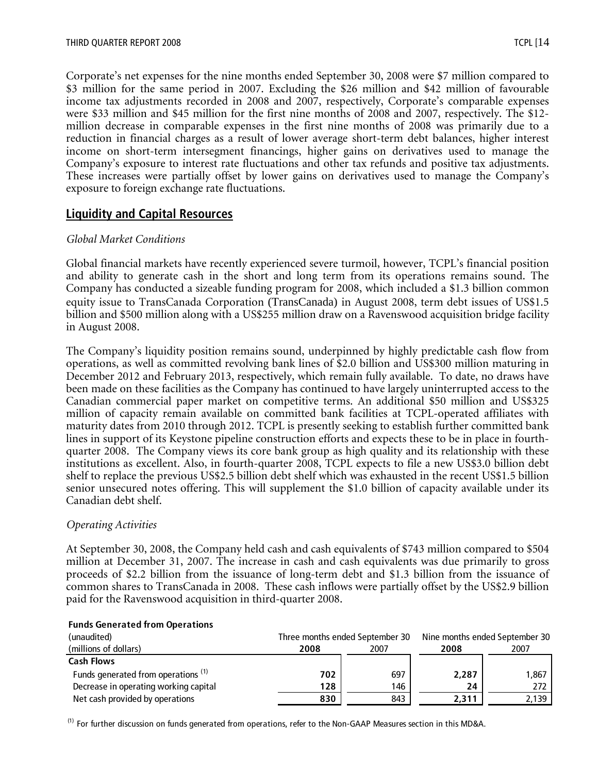Corporate's net expenses for the nine months ended September 30, 2008 were \$7 million compared to \$3 million for the same period in 2007. Excluding the \$26 million and \$42 million of favourable income tax adjustments recorded in 2008 and 2007, respectively, Corporate's comparable expenses were \$33 million and \$45 million for the first nine months of 2008 and 2007, respectively. The \$12 million decrease in comparable expenses in the first nine months of 2008 was primarily due to a reduction in financial charges as a result of lower average short-term debt balances, higher interest income on short-term intersegment financings, higher gains on derivatives used to manage the Company's exposure to interest rate fluctuations and other tax refunds and positive tax adjustments. These increases were partially offset by lower gains on derivatives used to manage the Company's exposure to foreign exchange rate fluctuations.

## **Liquidity and Capital Resources**

#### *Global Market Conditions*

Global financial markets have recently experienced severe turmoil, however, TCPL's financial position and ability to generate cash in the short and long term from its operations remains sound. The Company has conducted a sizeable funding program for 2008, which included a \$1.3 billion common equity issue to TransCanada Corporation (TransCanada) in August 2008, term debt issues of US\$1.5 billion and \$500 million along with a US\$255 million draw on a Ravenswood acquisition bridge facility in August 2008.

The Company's liquidity position remains sound, underpinned by highly predictable cash flow from operations, as well as committed revolving bank lines of \$2.0 billion and US\$300 million maturing in December 2012 and February 2013, respectively, which remain fully available. To date, no draws have been made on these facilities as the Company has continued to have largely uninterrupted access to the Canadian commercial paper market on competitive terms. An additional \$50 million and US\$325 million of capacity remain available on committed bank facilities at TCPL-operated affiliates with maturity dates from 2010 through 2012. TCPL is presently seeking to establish further committed bank lines in support of its Keystone pipeline construction efforts and expects these to be in place in fourthquarter 2008. The Company views its core bank group as high quality and its relationship with these institutions as excellent. Also, in fourth-quarter 2008, TCPL expects to file a new US\$3.0 billion debt shelf to replace the previous US\$2.5 billion debt shelf which was exhausted in the recent US\$1.5 billion senior unsecured notes offering. This will supplement the \$1.0 billion of capacity available under its Canadian debt shelf.

#### *Operating Activities*

At September 30, 2008, the Company held cash and cash equivalents of \$743 million compared to \$504 million at December 31, 2007. The increase in cash and cash equivalents was due primarily to gross proceeds of \$2.2 billion from the issuance of long-term debt and \$1.3 billion from the issuance of common shares to TransCanada in 2008. These cash inflows were partially offset by the US\$2.9 billion paid for the Ravenswood acquisition in third-quarter 2008.

| (unaudited)                                    |      | Three months ended September 30 | Nine months ended September 30 |       |  |
|------------------------------------------------|------|---------------------------------|--------------------------------|-------|--|
| (millions of dollars)                          | 2008 | 2007                            |                                | 2007  |  |
| <b>Cash Flows</b>                              |      |                                 |                                |       |  |
| Funds generated from operations <sup>(1)</sup> | 702  | 697                             | 2,287                          | 1.867 |  |
| Decrease in operating working capital          | 128  | 146                             | 24                             | 272   |  |
| Net cash provided by operations                | 830  | 843                             | 2.311                          | 2,139 |  |

#### **Funds Generated from Operations**

 $<sup>(1)</sup>$  For further discussion on funds generated from operations, refer to the Non-GAAP Measures section in this MD&A.</sup>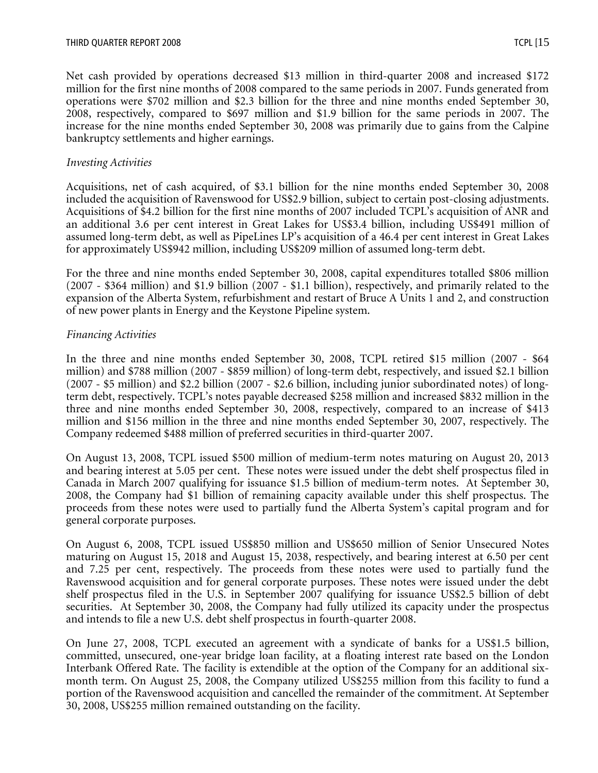Net cash provided by operations decreased \$13 million in third-quarter 2008 and increased \$172 million for the first nine months of 2008 compared to the same periods in 2007. Funds generated from operations were \$702 million and \$2.3 billion for the three and nine months ended September 30, 2008, respectively, compared to \$697 million and \$1.9 billion for the same periods in 2007. The increase for the nine months ended September 30, 2008 was primarily due to gains from the Calpine bankruptcy settlements and higher earnings.

#### *Investing Activities*

Acquisitions, net of cash acquired, of \$3.1 billion for the nine months ended September 30, 2008 included the acquisition of Ravenswood for US\$2.9 billion, subject to certain post-closing adjustments. Acquisitions of \$4.2 billion for the first nine months of 2007 included TCPL's acquisition of ANR and an additional 3.6 per cent interest in Great Lakes for US\$3.4 billion, including US\$491 million of assumed long-term debt, as well as PipeLines LP's acquisition of a 46.4 per cent interest in Great Lakes for approximately US\$942 million, including US\$209 million of assumed long-term debt.

For the three and nine months ended September 30, 2008, capital expenditures totalled \$806 million (2007 - \$364 million) and \$1.9 billion (2007 - \$1.1 billion), respectively, and primarily related to the expansion of the Alberta System, refurbishment and restart of Bruce A Units 1 and 2, and construction of new power plants in Energy and the Keystone Pipeline system.

#### *Financing Activities*

In the three and nine months ended September 30, 2008, TCPL retired \$15 million (2007 - \$64 million) and \$788 million (2007 - \$859 million) of long-term debt, respectively, and issued \$2.1 billion (2007 - \$5 million) and \$2.2 billion (2007 - \$2.6 billion, including junior subordinated notes) of longterm debt, respectively. TCPL's notes payable decreased \$258 million and increased \$832 million in the three and nine months ended September 30, 2008, respectively, compared to an increase of \$413 million and \$156 million in the three and nine months ended September 30, 2007, respectively. The Company redeemed \$488 million of preferred securities in third-quarter 2007.

On August 13, 2008, TCPL issued \$500 million of medium-term notes maturing on August 20, 2013 and bearing interest at 5.05 per cent. These notes were issued under the debt shelf prospectus filed in Canada in March 2007 qualifying for issuance \$1.5 billion of medium-term notes. At September 30, 2008, the Company had \$1 billion of remaining capacity available under this shelf prospectus. The proceeds from these notes were used to partially fund the Alberta System's capital program and for general corporate purposes.

On August 6, 2008, TCPL issued US\$850 million and US\$650 million of Senior Unsecured Notes maturing on August 15, 2018 and August 15, 2038, respectively, and bearing interest at 6.50 per cent and 7.25 per cent, respectively. The proceeds from these notes were used to partially fund the Ravenswood acquisition and for general corporate purposes. These notes were issued under the debt shelf prospectus filed in the U.S. in September 2007 qualifying for issuance US\$2.5 billion of debt securities. At September 30, 2008, the Company had fully utilized its capacity under the prospectus and intends to file a new U.S. debt shelf prospectus in fourth-quarter 2008.

On June 27, 2008, TCPL executed an agreement with a syndicate of banks for a US\$1.5 billion, committed, unsecured, one-year bridge loan facility, at a floating interest rate based on the London Interbank Offered Rate. The facility is extendible at the option of the Company for an additional sixmonth term. On August 25, 2008, the Company utilized US\$255 million from this facility to fund a portion of the Ravenswood acquisition and cancelled the remainder of the commitment. At September 30, 2008, US\$255 million remained outstanding on the facility.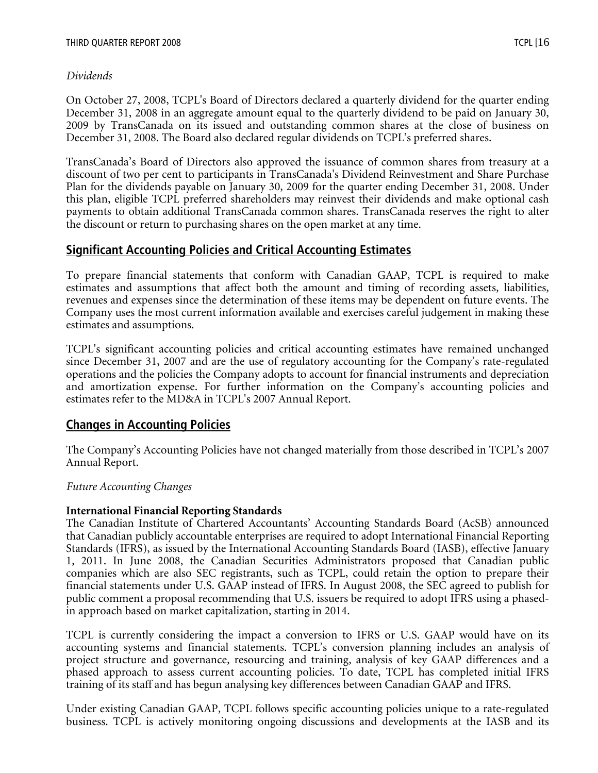On October 27, 2008, TCPL's Board of Directors declared a quarterly dividend for the quarter ending December 31, 2008 in an aggregate amount equal to the quarterly dividend to be paid on January 30, 2009 by TransCanada on its issued and outstanding common shares at the close of business on December 31, 2008. The Board also declared regular dividends on TCPL's preferred shares.

TransCanada's Board of Directors also approved the issuance of common shares from treasury at a discount of two per cent to participants in TransCanada's Dividend Reinvestment and Share Purchase Plan for the dividends payable on January 30, 2009 for the quarter ending December 31, 2008. Under this plan, eligible TCPL preferred shareholders may reinvest their dividends and make optional cash payments to obtain additional TransCanada common shares. TransCanada reserves the right to alter the discount or return to purchasing shares on the open market at any time.

# **Significant Accounting Policies and Critical Accounting Estimates**

To prepare financial statements that conform with Canadian GAAP, TCPL is required to make estimates and assumptions that affect both the amount and timing of recording assets, liabilities, revenues and expenses since the determination of these items may be dependent on future events. The Company uses the most current information available and exercises careful judgement in making these estimates and assumptions.

TCPL's significant accounting policies and critical accounting estimates have remained unchanged since December 31, 2007 and are the use of regulatory accounting for the Company's rate-regulated operations and the policies the Company adopts to account for financial instruments and depreciation and amortization expense. For further information on the Company's accounting policies and estimates refer to the MD&A in TCPL's 2007 Annual Report.

# **Changes in Accounting Policies**

The Company's Accounting Policies have not changed materially from those described in TCPL's 2007 Annual Report.

# *Future Accounting Changes*

## **International Financial Reporting Standards**

The Canadian Institute of Chartered Accountants' Accounting Standards Board (AcSB) announced that Canadian publicly accountable enterprises are required to adopt International Financial Reporting Standards (IFRS), as issued by the International Accounting Standards Board (IASB), effective January 1, 2011. In June 2008, the Canadian Securities Administrators proposed that Canadian public companies which are also SEC registrants, such as TCPL, could retain the option to prepare their financial statements under U.S. GAAP instead of IFRS. In August 2008, the SEC agreed to publish for public comment a proposal recommending that U.S. issuers be required to adopt IFRS using a phasedin approach based on market capitalization, starting in 2014.

TCPL is currently considering the impact a conversion to IFRS or U.S. GAAP would have on its accounting systems and financial statements. TCPL's conversion planning includes an analysis of project structure and governance, resourcing and training, analysis of key GAAP differences and a phased approach to assess current accounting policies. To date, TCPL has completed initial IFRS training of its staff and has begun analysing key differences between Canadian GAAP and IFRS.

Under existing Canadian GAAP, TCPL follows specific accounting policies unique to a rate-regulated business. TCPL is actively monitoring ongoing discussions and developments at the IASB and its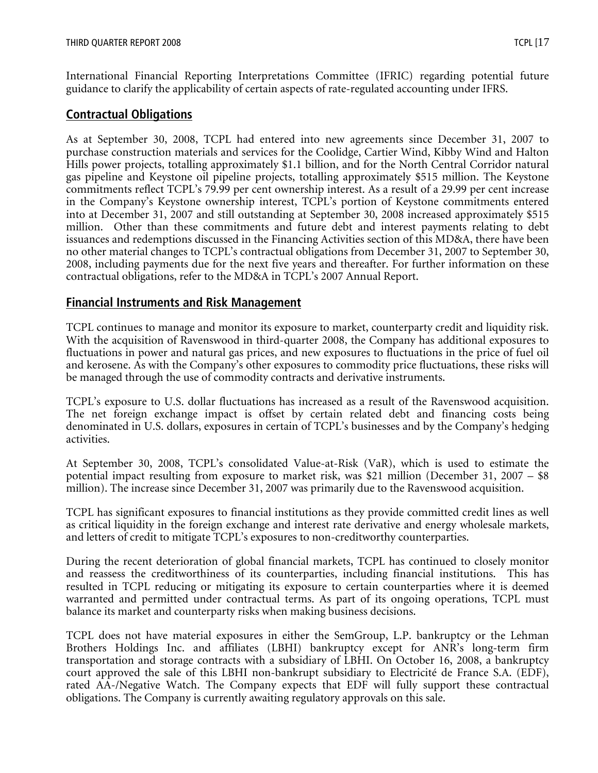International Financial Reporting Interpretations Committee (IFRIC) regarding potential future guidance to clarify the applicability of certain aspects of rate-regulated accounting under IFRS.

# **Contractual Obligations**

As at September 30, 2008, TCPL had entered into new agreements since December 31, 2007 to purchase construction materials and services for the Coolidge, Cartier Wind, Kibby Wind and Halton Hills power projects, totalling approximately \$1.1 billion, and for the North Central Corridor natural gas pipeline and Keystone oil pipeline projects, totalling approximately \$515 million. The Keystone commitments reflect TCPL's 79.99 per cent ownership interest. As a result of a 29.99 per cent increase in the Company's Keystone ownership interest, TCPL's portion of Keystone commitments entered into at December 31, 2007 and still outstanding at September 30, 2008 increased approximately \$515 million. Other than these commitments and future debt and interest payments relating to debt issuances and redemptions discussed in the Financing Activities section of this MD&A, there have been no other material changes to TCPL's contractual obligations from December 31, 2007 to September 30, 2008, including payments due for the next five years and thereafter. For further information on these contractual obligations, refer to the MD&A in TCPL's 2007 Annual Report.

# **Financial Instruments and Risk Management**

TCPL continues to manage and monitor its exposure to market, counterparty credit and liquidity risk. With the acquisition of Ravenswood in third-quarter 2008, the Company has additional exposures to fluctuations in power and natural gas prices, and new exposures to fluctuations in the price of fuel oil and kerosene. As with the Company's other exposures to commodity price fluctuations, these risks will be managed through the use of commodity contracts and derivative instruments.

TCPL's exposure to U.S. dollar fluctuations has increased as a result of the Ravenswood acquisition. The net foreign exchange impact is offset by certain related debt and financing costs being denominated in U.S. dollars, exposures in certain of TCPL's businesses and by the Company's hedging activities.

At September 30, 2008, TCPL's consolidated Value-at-Risk (VaR), which is used to estimate the potential impact resulting from exposure to market risk, was \$21 million (December 31, 2007 – \$8 million). The increase since December 31, 2007 was primarily due to the Ravenswood acquisition.

TCPL has significant exposures to financial institutions as they provide committed credit lines as well as critical liquidity in the foreign exchange and interest rate derivative and energy wholesale markets, and letters of credit to mitigate TCPL's exposures to non-creditworthy counterparties.

During the recent deterioration of global financial markets, TCPL has continued to closely monitor and reassess the creditworthiness of its counterparties, including financial institutions. This has resulted in TCPL reducing or mitigating its exposure to certain counterparties where it is deemed warranted and permitted under contractual terms. As part of its ongoing operations, TCPL must balance its market and counterparty risks when making business decisions.

TCPL does not have material exposures in either the SemGroup, L.P. bankruptcy or the Lehman Brothers Holdings Inc. and affiliates (LBHI) bankruptcy except for ANR's long-term firm transportation and storage contracts with a subsidiary of LBHI. On October 16, 2008, a bankruptcy court approved the sale of this LBHI non-bankrupt subsidiary to Electricité de France S.A. (EDF), rated AA-/Negative Watch. The Company expects that EDF will fully support these contractual obligations. The Company is currently awaiting regulatory approvals on this sale.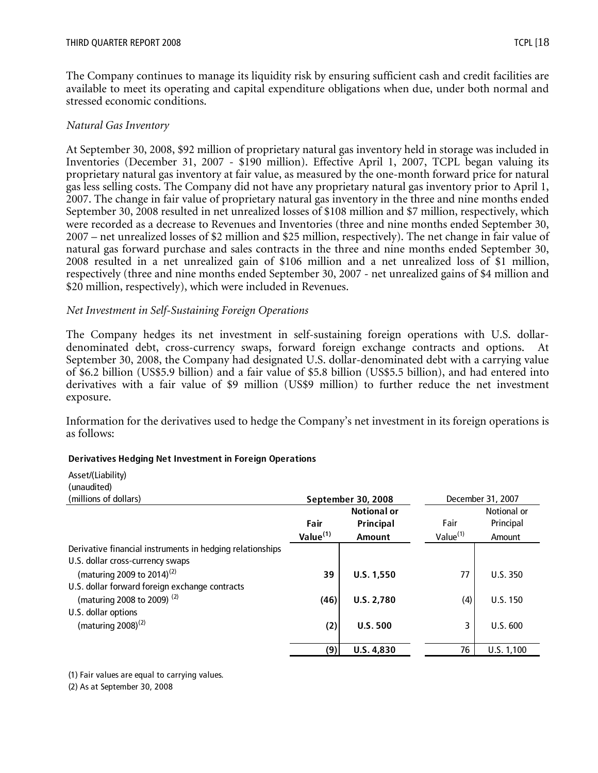The Company continues to manage its liquidity risk by ensuring sufficient cash and credit facilities are available to meet its operating and capital expenditure obligations when due, under both normal and stressed economic conditions.

#### *Natural Gas Inventory*

At September 30, 2008, \$92 million of proprietary natural gas inventory held in storage was included in Inventories (December 31, 2007 - \$190 million). Effective April 1, 2007, TCPL began valuing its proprietary natural gas inventory at fair value, as measured by the one-month forward price for natural gas less selling costs. The Company did not have any proprietary natural gas inventory prior to April 1, 2007. The change in fair value of proprietary natural gas inventory in the three and nine months ended September 30, 2008 resulted in net unrealized losses of \$108 million and \$7 million, respectively, which were recorded as a decrease to Revenues and Inventories (three and nine months ended September 30, 2007 – net unrealized losses of \$2 million and \$25 million, respectively). The net change in fair value of natural gas forward purchase and sales contracts in the three and nine months ended September 30, 2008 resulted in a net unrealized gain of \$106 million and a net unrealized loss of \$1 million, respectively (three and nine months ended September 30, 2007 - net unrealized gains of \$4 million and \$20 million, respectively), which were included in Revenues.

#### *Net Investment in Self-Sustaining Foreign Operations*

The Company hedges its net investment in self-sustaining foreign operations with U.S. dollardenominated debt, cross-currency swaps, forward foreign exchange contracts and options. At September 30, 2008, the Company had designated U.S. dollar-denominated debt with a carrying value of \$6.2 billion (US\$5.9 billion) and a fair value of \$5.8 billion (US\$5.5 billion), and had entered into derivatives with a fair value of \$9 million (US\$9 million) to further reduce the net investment exposure.

Information for the derivatives used to hedge the Company's net investment in its foreign operations is as follows:

#### **Derivatives Hedging Net Investment in Foreign Operations**

| Asset/(Liability)<br>(unaudited)                          |             |                    |                   |             |  |
|-----------------------------------------------------------|-------------|--------------------|-------------------|-------------|--|
| (millions of dollars)                                     |             | September 30, 2008 | December 31, 2007 |             |  |
|                                                           |             | <b>Notional or</b> |                   | Notional or |  |
|                                                           | Fair        | Principal          | Fair              | Principal   |  |
|                                                           | Value $(1)$ | Amount             | Value $(1)$       | Amount      |  |
| Derivative financial instruments in hedging relationships |             |                    |                   |             |  |
| U.S. dollar cross-currency swaps                          |             |                    |                   |             |  |
| (maturing 2009 to 2014) <sup>(2)</sup>                    | 39          | U.S. 1,550         | 77                | U.S.350     |  |
| U.S. dollar forward foreign exchange contracts            |             |                    |                   |             |  |
| (maturing 2008 to 2009) <sup>(2)</sup>                    | (46)        | <b>U.S. 2.780</b>  | (4)               | U.S. 150    |  |
| U.S. dollar options                                       |             |                    |                   |             |  |
| (maturing $2008$ ) <sup>(2)</sup>                         | (2)         | <b>U.S. 500</b>    | 3                 | U.S. 600    |  |
|                                                           |             |                    |                   |             |  |
|                                                           | (9)         | U.S. 4,830         | 76                | U.S. 1,100  |  |

(1) Fair values are equal to carrying values.

(2) As at September 30, 2008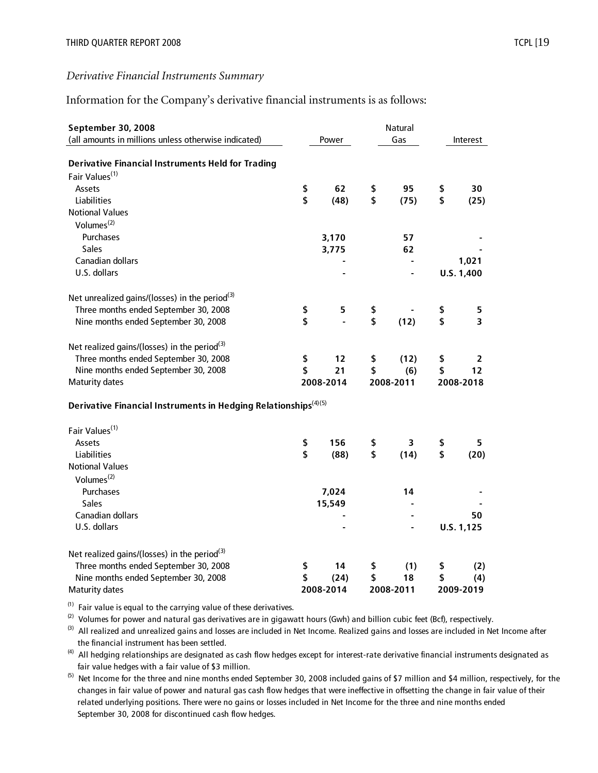## Information for the Company's derivative financial instruments is as follows:

| (all amounts in millions unless otherwise indicated)<br>Gas<br>Power<br>Interest<br><b>Derivative Financial Instruments Held for Trading</b><br>Fair Values <sup>(1)</sup><br>\$<br>Assets<br>62<br>\$<br>95<br>\$<br>30<br>\$<br>\$<br>\$<br>Liabilities<br>(48)<br>(75)<br>(25)<br><b>Notional Values</b><br>Volumes <sup>(2)</sup><br>Purchases<br>3,170<br>57<br>Sales<br>3,775<br>62<br>Canadian dollars<br>1,021<br>U.S. dollars<br>U.S. 1,400<br>Net unrealized gains/(losses) in the period <sup>(3)</sup><br>Three months ended September 30, 2008<br>\$<br>5<br>\$<br>\$<br>5<br>\$<br>\$<br>\$<br>(12)<br>3<br>Nine months ended September 30, 2008<br>Net realized gains/(losses) in the period $(3)$<br>Three months ended September 30, 2008<br>\$<br>12<br>\$<br>(12)<br>\$<br>2<br>\$<br>\$<br>Nine months ended September 30, 2008<br>21<br>\$<br>(6)<br>12<br><b>Maturity dates</b><br>2008-2014<br>2008-2011<br>2008-2018<br>Derivative Financial Instruments in Hedging Relationships <sup>(4)(5)</sup><br>Fair Values <sup>(1)</sup> |
|-----------------------------------------------------------------------------------------------------------------------------------------------------------------------------------------------------------------------------------------------------------------------------------------------------------------------------------------------------------------------------------------------------------------------------------------------------------------------------------------------------------------------------------------------------------------------------------------------------------------------------------------------------------------------------------------------------------------------------------------------------------------------------------------------------------------------------------------------------------------------------------------------------------------------------------------------------------------------------------------------------------------------------------------------------------|
|                                                                                                                                                                                                                                                                                                                                                                                                                                                                                                                                                                                                                                                                                                                                                                                                                                                                                                                                                                                                                                                           |
|                                                                                                                                                                                                                                                                                                                                                                                                                                                                                                                                                                                                                                                                                                                                                                                                                                                                                                                                                                                                                                                           |
|                                                                                                                                                                                                                                                                                                                                                                                                                                                                                                                                                                                                                                                                                                                                                                                                                                                                                                                                                                                                                                                           |
|                                                                                                                                                                                                                                                                                                                                                                                                                                                                                                                                                                                                                                                                                                                                                                                                                                                                                                                                                                                                                                                           |
|                                                                                                                                                                                                                                                                                                                                                                                                                                                                                                                                                                                                                                                                                                                                                                                                                                                                                                                                                                                                                                                           |
|                                                                                                                                                                                                                                                                                                                                                                                                                                                                                                                                                                                                                                                                                                                                                                                                                                                                                                                                                                                                                                                           |
|                                                                                                                                                                                                                                                                                                                                                                                                                                                                                                                                                                                                                                                                                                                                                                                                                                                                                                                                                                                                                                                           |
|                                                                                                                                                                                                                                                                                                                                                                                                                                                                                                                                                                                                                                                                                                                                                                                                                                                                                                                                                                                                                                                           |
|                                                                                                                                                                                                                                                                                                                                                                                                                                                                                                                                                                                                                                                                                                                                                                                                                                                                                                                                                                                                                                                           |
|                                                                                                                                                                                                                                                                                                                                                                                                                                                                                                                                                                                                                                                                                                                                                                                                                                                                                                                                                                                                                                                           |
|                                                                                                                                                                                                                                                                                                                                                                                                                                                                                                                                                                                                                                                                                                                                                                                                                                                                                                                                                                                                                                                           |
|                                                                                                                                                                                                                                                                                                                                                                                                                                                                                                                                                                                                                                                                                                                                                                                                                                                                                                                                                                                                                                                           |
|                                                                                                                                                                                                                                                                                                                                                                                                                                                                                                                                                                                                                                                                                                                                                                                                                                                                                                                                                                                                                                                           |
|                                                                                                                                                                                                                                                                                                                                                                                                                                                                                                                                                                                                                                                                                                                                                                                                                                                                                                                                                                                                                                                           |
|                                                                                                                                                                                                                                                                                                                                                                                                                                                                                                                                                                                                                                                                                                                                                                                                                                                                                                                                                                                                                                                           |
|                                                                                                                                                                                                                                                                                                                                                                                                                                                                                                                                                                                                                                                                                                                                                                                                                                                                                                                                                                                                                                                           |
|                                                                                                                                                                                                                                                                                                                                                                                                                                                                                                                                                                                                                                                                                                                                                                                                                                                                                                                                                                                                                                                           |
|                                                                                                                                                                                                                                                                                                                                                                                                                                                                                                                                                                                                                                                                                                                                                                                                                                                                                                                                                                                                                                                           |
|                                                                                                                                                                                                                                                                                                                                                                                                                                                                                                                                                                                                                                                                                                                                                                                                                                                                                                                                                                                                                                                           |
|                                                                                                                                                                                                                                                                                                                                                                                                                                                                                                                                                                                                                                                                                                                                                                                                                                                                                                                                                                                                                                                           |
|                                                                                                                                                                                                                                                                                                                                                                                                                                                                                                                                                                                                                                                                                                                                                                                                                                                                                                                                                                                                                                                           |
|                                                                                                                                                                                                                                                                                                                                                                                                                                                                                                                                                                                                                                                                                                                                                                                                                                                                                                                                                                                                                                                           |
|                                                                                                                                                                                                                                                                                                                                                                                                                                                                                                                                                                                                                                                                                                                                                                                                                                                                                                                                                                                                                                                           |
|                                                                                                                                                                                                                                                                                                                                                                                                                                                                                                                                                                                                                                                                                                                                                                                                                                                                                                                                                                                                                                                           |
|                                                                                                                                                                                                                                                                                                                                                                                                                                                                                                                                                                                                                                                                                                                                                                                                                                                                                                                                                                                                                                                           |
| \$<br>156<br>\$<br>\$<br>Assets<br>3<br>5.                                                                                                                                                                                                                                                                                                                                                                                                                                                                                                                                                                                                                                                                                                                                                                                                                                                                                                                                                                                                                |
| \$<br>\$<br>\$<br><b>Liabilities</b><br>(14)<br>(20)<br>(88)                                                                                                                                                                                                                                                                                                                                                                                                                                                                                                                                                                                                                                                                                                                                                                                                                                                                                                                                                                                              |
| <b>Notional Values</b>                                                                                                                                                                                                                                                                                                                                                                                                                                                                                                                                                                                                                                                                                                                                                                                                                                                                                                                                                                                                                                    |
| Volumes <sup>(2)</sup>                                                                                                                                                                                                                                                                                                                                                                                                                                                                                                                                                                                                                                                                                                                                                                                                                                                                                                                                                                                                                                    |
| Purchases<br>7,024<br>14                                                                                                                                                                                                                                                                                                                                                                                                                                                                                                                                                                                                                                                                                                                                                                                                                                                                                                                                                                                                                                  |
| Sales<br>15,549                                                                                                                                                                                                                                                                                                                                                                                                                                                                                                                                                                                                                                                                                                                                                                                                                                                                                                                                                                                                                                           |
| Canadian dollars<br>50                                                                                                                                                                                                                                                                                                                                                                                                                                                                                                                                                                                                                                                                                                                                                                                                                                                                                                                                                                                                                                    |
| U.S. dollars<br>U.S. 1,125                                                                                                                                                                                                                                                                                                                                                                                                                                                                                                                                                                                                                                                                                                                                                                                                                                                                                                                                                                                                                                |
|                                                                                                                                                                                                                                                                                                                                                                                                                                                                                                                                                                                                                                                                                                                                                                                                                                                                                                                                                                                                                                                           |
| Net realized gains/(losses) in the period <sup>(3)</sup>                                                                                                                                                                                                                                                                                                                                                                                                                                                                                                                                                                                                                                                                                                                                                                                                                                                                                                                                                                                                  |
| Three months ended September 30, 2008<br>\$<br>14<br>\$<br>(1)<br>\$<br>(2)                                                                                                                                                                                                                                                                                                                                                                                                                                                                                                                                                                                                                                                                                                                                                                                                                                                                                                                                                                               |
| \$<br>Nine months ended September 30, 2008<br>(24)<br>\$<br>18<br>\$<br>(4)                                                                                                                                                                                                                                                                                                                                                                                                                                                                                                                                                                                                                                                                                                                                                                                                                                                                                                                                                                               |
| 2008-2014<br>2008-2011<br><b>Maturity dates</b><br>2009-2019                                                                                                                                                                                                                                                                                                                                                                                                                                                                                                                                                                                                                                                                                                                                                                                                                                                                                                                                                                                              |

 $(1)$  Fair value is equal to the carrying value of these derivatives.

 $(2)$  Volumes for power and natural gas derivatives are in gigawatt hours (Gwh) and billion cubic feet (Bcf), respectively.

 the financial instrument has been settled. <sup>(3)</sup> All realized and unrealized gains and losses are included in Net Income. Realized gains and losses are included in Net Income after

 fair value hedges with a fair value of \$3 million. <sup>(4)</sup> All hedging relationships are designated as cash flow hedges except for interest-rate derivative financial instruments designated as

 changes in fair value of power and natural gas cash flow hedges that were ineffective in offsetting the change in fair value of their related underlying positions. There were no gains or losses included in Net Income for the three and nine months ended September 30, 2008 for discontinued cash flow hedges. <sup>(5)</sup> Net Income for the three and nine months ended September 30, 2008 included gains of \$7 million and \$4 million, respectively, for the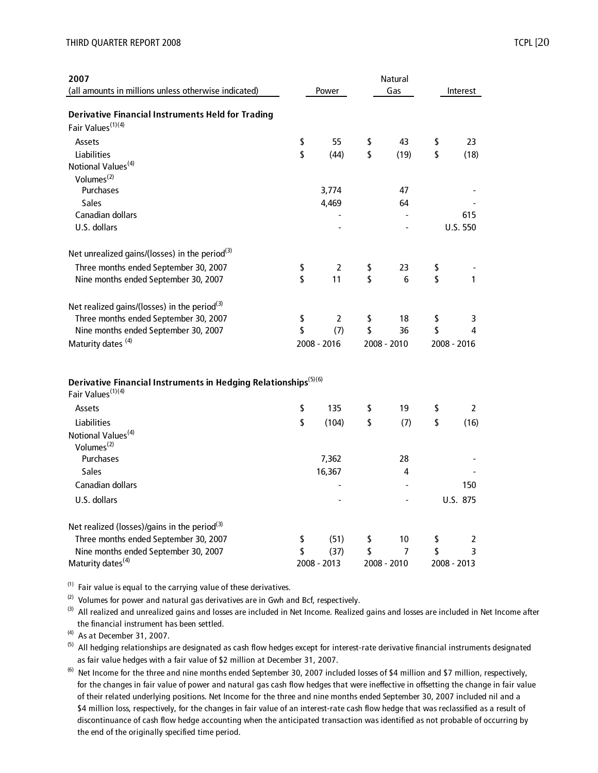| 2007<br>(all amounts in millions unless otherwise indicated)                                                 | Power       | Natural<br>Gas | Interest           |
|--------------------------------------------------------------------------------------------------------------|-------------|----------------|--------------------|
| <b>Derivative Financial Instruments Held for Trading</b>                                                     |             |                |                    |
| Fair Values <sup>(1)(4)</sup>                                                                                |             |                |                    |
| Assets                                                                                                       | \$<br>55    | \$<br>43       | \$<br>23           |
| Liabilities                                                                                                  | \$<br>(44)  | \$<br>(19)     | \$<br>(18)         |
| Notional Values <sup>(4)</sup>                                                                               |             |                |                    |
| Volumes <sup>(2)</sup>                                                                                       |             |                |                    |
| Purchases                                                                                                    | 3,774       | 47             |                    |
| <b>Sales</b>                                                                                                 | 4,469       | 64             |                    |
| Canadian dollars                                                                                             |             |                | 615                |
| U.S. dollars                                                                                                 |             |                | U.S. 550           |
| Net unrealized gains/(losses) in the period <sup>(3)</sup>                                                   |             |                |                    |
| Three months ended September 30, 2007                                                                        | \$<br>2     | \$<br>23       | \$                 |
| Nine months ended September 30, 2007                                                                         | \$<br>11    | \$<br>6        | \$<br>$\mathbf{1}$ |
|                                                                                                              |             |                |                    |
| Net realized gains/(losses) in the period <sup>(3)</sup>                                                     |             |                |                    |
| Three months ended September 30, 2007                                                                        | \$<br>2     | \$<br>18       | \$<br>3            |
| Nine months ended September 30, 2007                                                                         | \$<br>(7)   | \$<br>36       | \$<br>4            |
| Maturity dates <sup>(4)</sup>                                                                                | 2008 - 2016 | 2008 - 2010    | 2008 - 2016        |
|                                                                                                              |             |                |                    |
| Derivative Financial Instruments in Hedging Relationships <sup>(5)(6)</sup><br>Fair Values <sup>(1)(4)</sup> |             |                |                    |
| Assets                                                                                                       | \$<br>135   | \$<br>19       | \$<br>2            |
| Liabilities                                                                                                  | \$<br>(104) | \$<br>(7)      | \$<br>(16)         |
| Notional Values <sup>(4)</sup><br>Volumes $(2)$                                                              |             |                |                    |
| Purchases                                                                                                    | 7,362       | 28             |                    |
| <b>Sales</b>                                                                                                 | 16,367      | 4              |                    |
| Canadian dollars                                                                                             |             |                | 150                |
| U.S. dollars                                                                                                 |             |                | U.S. 875           |
|                                                                                                              |             |                |                    |
| Net realized (losses)/gains in the period <sup>(3)</sup>                                                     |             |                |                    |
| Three months ended September 30, 2007                                                                        | \$<br>(51)  | \$<br>10       | \$<br>2            |
| Nine months ended September 30, 2007                                                                         | \$<br>(37)  | \$<br>7        | \$<br>3            |
| Maturity dates <sup>(4)</sup>                                                                                | 2008 - 2013 | 2008 - 2010    | 2008 - 2013        |

 $(1)$  Fair value is equal to the carrying value of these derivatives.

 $(2)$  Volumes for power and natural gas derivatives are in Gwh and Bcf, respectively.

 the financial instrument has been settled. <sup>(3)</sup> All realized and unrealized gains and losses are included in Net Income. Realized gains and losses are included in Net Income after

 $(4)$  As at December 31, 2007.

 as fair value hedges with a fair value of \$2 million at December 31, 2007.  $(5)$  All hedging relationships are designated as cash flow hedges except for interest-rate derivative financial instruments designated

 for the changes in fair value of power and natural gas cash flow hedges that were ineffective in offsetting the change in fair value of their related underlying positions. Net Income for the three and nine months ended September 30, 2007 included nil and a \$4 million loss, respectively, for the changes in fair value of an interest-rate cash flow hedge that was reclassified as a result of discontinuance of cash flow hedge accounting when the anticipated transaction was identified as not probable of occurring by the end of the originally specified time period. <sup>(6)</sup> Net Income for the three and nine months ended September 30, 2007 included losses of \$4 million and \$7 million, respectively,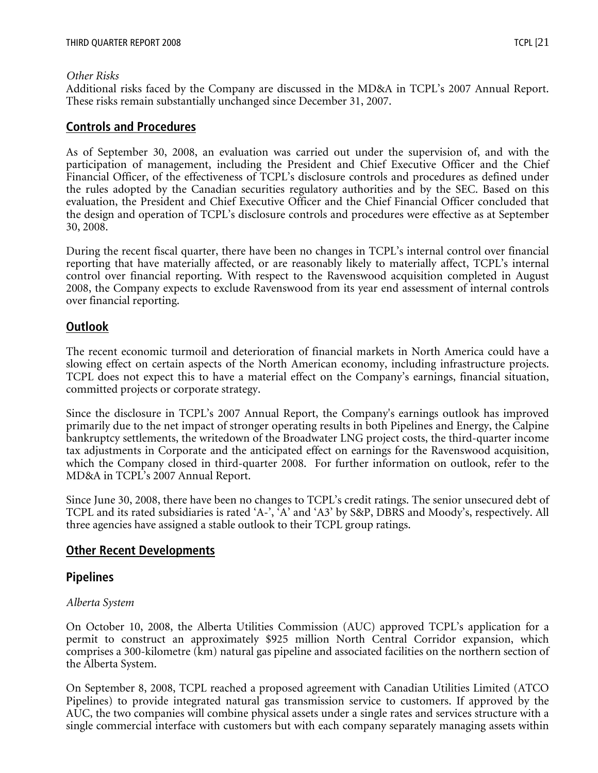#### *Other Risks*

Additional risks faced by the Company are discussed in the MD&A in TCPL's 2007 Annual Report. These risks remain substantially unchanged since December 31, 2007.

## **Controls and Procedures**

As of September 30, 2008, an evaluation was carried out under the supervision of, and with the participation of management, including the President and Chief Executive Officer and the Chief Financial Officer, of the effectiveness of TCPL's disclosure controls and procedures as defined under the rules adopted by the Canadian securities regulatory authorities and by the SEC. Based on this evaluation, the President and Chief Executive Officer and the Chief Financial Officer concluded that the design and operation of TCPL's disclosure controls and procedures were effective as at September 30, 2008.

During the recent fiscal quarter, there have been no changes in TCPL's internal control over financial reporting that have materially affected, or are reasonably likely to materially affect, TCPL's internal control over financial reporting. With respect to the Ravenswood acquisition completed in August 2008, the Company expects to exclude Ravenswood from its year end assessment of internal controls over financial reporting.

# **Outlook**

The recent economic turmoil and deterioration of financial markets in North America could have a slowing effect on certain aspects of the North American economy, including infrastructure projects. TCPL does not expect this to have a material effect on the Company's earnings, financial situation, committed projects or corporate strategy.

Since the disclosure in TCPL's 2007 Annual Report, the Company's earnings outlook has improved primarily due to the net impact of stronger operating results in both Pipelines and Energy, the Calpine bankruptcy settlements, the writedown of the Broadwater LNG project costs, the third-quarter income tax adjustments in Corporate and the anticipated effect on earnings for the Ravenswood acquisition, which the Company closed in third-quarter 2008. For further information on outlook, refer to the MD&A in TCPL's 2007 Annual Report.

Since June 30, 2008, there have been no changes to TCPL's credit ratings. The senior unsecured debt of TCPL and its rated subsidiaries is rated 'A-', 'A' and 'A3' by S&P, DBRS and Moody's, respectively. All three agencies have assigned a stable outlook to their TCPL group ratings.

# **Other Recent Developments**

# **Pipelines**

## *Alberta System*

On October 10, 2008, the Alberta Utilities Commission (AUC) approved TCPL's application for a permit to construct an approximately \$925 million North Central Corridor expansion, which comprises a 300-kilometre (km) natural gas pipeline and associated facilities on the northern section of the Alberta System.

On September 8, 2008, TCPL reached a proposed agreement with Canadian Utilities Limited (ATCO Pipelines) to provide integrated natural gas transmission service to customers. If approved by the AUC, the two companies will combine physical assets under a single rates and services structure with a single commercial interface with customers but with each company separately managing assets within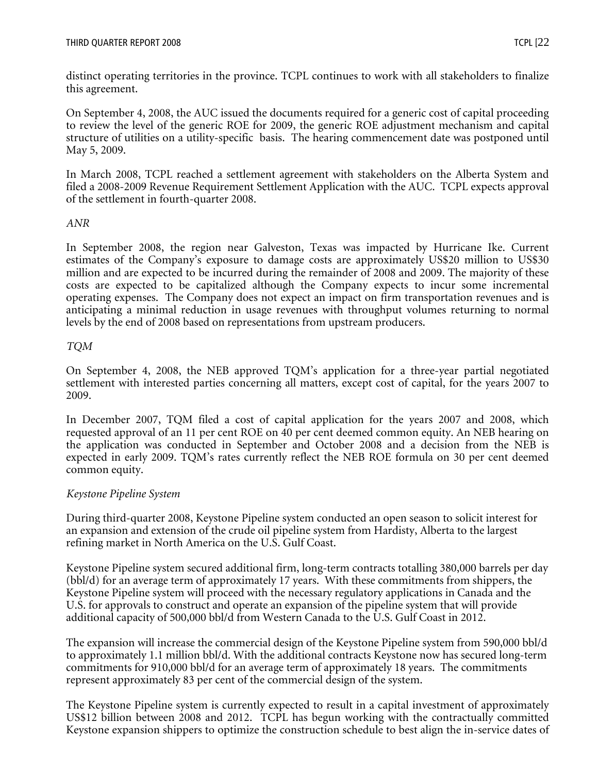distinct operating territories in the province. TCPL continues to work with all stakeholders to finalize this agreement.

On September 4, 2008, the AUC issued the documents required for a generic cost of capital proceeding to review the level of the generic ROE for 2009, the generic ROE adjustment mechanism and capital structure of utilities on a utility-specific basis. The hearing commencement date was postponed until May 5, 2009.

In March 2008, TCPL reached a settlement agreement with stakeholders on the Alberta System and filed a 2008-2009 Revenue Requirement Settlement Application with the AUC. TCPL expects approval of the settlement in fourth-quarter 2008.

## *ANR*

In September 2008, the region near Galveston, Texas was impacted by Hurricane Ike. Current estimates of the Company's exposure to damage costs are approximately US\$20 million to US\$30 million and are expected to be incurred during the remainder of 2008 and 2009. The majority of these costs are expected to be capitalized although the Company expects to incur some incremental operating expenses. The Company does not expect an impact on firm transportation revenues and is anticipating a minimal reduction in usage revenues with throughput volumes returning to normal levels by the end of 2008 based on representations from upstream producers.

## *TQM*

On September 4, 2008, the NEB approved TQM's application for a three-year partial negotiated settlement with interested parties concerning all matters, except cost of capital, for the years 2007 to 2009.

In December 2007, TQM filed a cost of capital application for the years 2007 and 2008, which requested approval of an 11 per cent ROE on 40 per cent deemed common equity. An NEB hearing on the application was conducted in September and October 2008 and a decision from the NEB is expected in early 2009. TQM's rates currently reflect the NEB ROE formula on 30 per cent deemed common equity.

## *Keystone Pipeline System*

During third-quarter 2008, Keystone Pipeline system conducted an open season to solicit interest for an expansion and extension of the crude oil pipeline system from Hardisty, Alberta to the largest refining market in North America on the U.S. Gulf Coast.

Keystone Pipeline system secured additional firm, long-term contracts totalling 380,000 barrels per day (bbl/d) for an average term of approximately 17 years. With these commitments from shippers, the Keystone Pipeline system will proceed with the necessary regulatory applications in Canada and the U.S. for approvals to construct and operate an expansion of the pipeline system that will provide additional capacity of 500,000 bbl/d from Western Canada to the U.S. Gulf Coast in 2012.

The expansion will increase the commercial design of the Keystone Pipeline system from 590,000 bbl/d to approximately 1.1 million bbl/d. With the additional contracts Keystone now has secured long-term commitments for 910,000 bbl/d for an average term of approximately 18 years. The commitments represent approximately 83 per cent of the commercial design of the system.

The Keystone Pipeline system is currently expected to result in a capital investment of approximately US\$12 billion between 2008 and 2012. TCPL has begun working with the contractually committed Keystone expansion shippers to optimize the construction schedule to best align the in-service dates of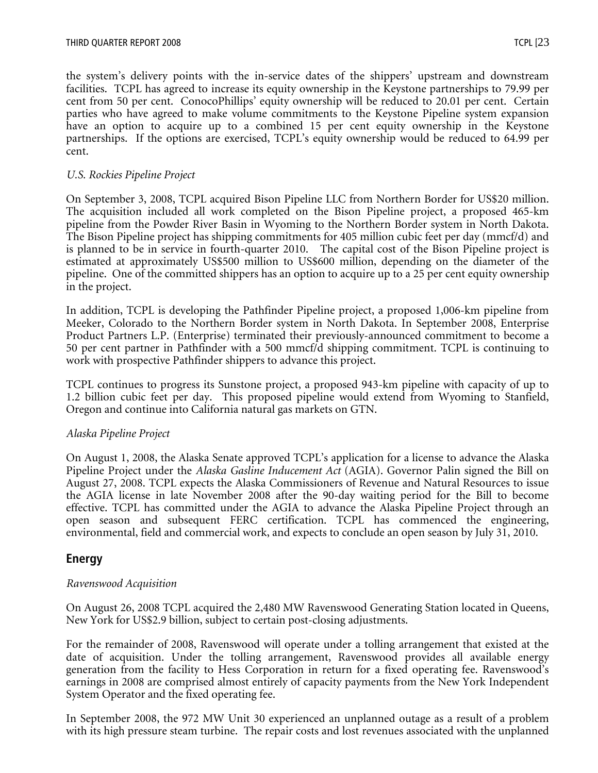the system's delivery points with the in-service dates of the shippers' upstream and downstream facilities. TCPL has agreed to increase its equity ownership in the Keystone partnerships to 79.99 per cent from 50 per cent. ConocoPhillips' equity ownership will be reduced to 20.01 per cent. Certain parties who have agreed to make volume commitments to the Keystone Pipeline system expansion have an option to acquire up to a combined 15 per cent equity ownership in the Keystone partnerships. If the options are exercised, TCPL's equity ownership would be reduced to 64.99 per cent.

#### *U.S. Rockies Pipeline Project*

On September 3, 2008, TCPL acquired Bison Pipeline LLC from Northern Border for US\$20 million. The acquisition included all work completed on the Bison Pipeline project, a proposed 465-km pipeline from the Powder River Basin in Wyoming to the Northern Border system in North Dakota. The Bison Pipeline project has shipping commitments for 405 million cubic feet per day (mmcf/d) and is planned to be in service in fourth-quarter 2010. The capital cost of the Bison Pipeline project is estimated at approximately US\$500 million to US\$600 million, depending on the diameter of the pipeline. One of the committed shippers has an option to acquire up to a 25 per cent equity ownership in the project.

In addition, TCPL is developing the Pathfinder Pipeline project, a proposed 1,006-km pipeline from Meeker, Colorado to the Northern Border system in North Dakota. In September 2008, Enterprise Product Partners L.P. (Enterprise) terminated their previously-announced commitment to become a 50 per cent partner in Pathfinder with a 500 mmcf/d shipping commitment. TCPL is continuing to work with prospective Pathfinder shippers to advance this project.

TCPL continues to progress its Sunstone project, a proposed 943-km pipeline with capacity of up to 1.2 billion cubic feet per day. This proposed pipeline would extend from Wyoming to Stanfield, Oregon and continue into California natural gas markets on GTN.

## *Alaska Pipeline Project*

On August 1, 2008, the Alaska Senate approved TCPL's application for a license to advance the Alaska Pipeline Project under the *Alaska Gasline Inducement Act* (AGIA). Governor Palin signed the Bill on August 27, 2008. TCPL expects the Alaska Commissioners of Revenue and Natural Resources to issue the AGIA license in late November 2008 after the 90-day waiting period for the Bill to become effective. TCPL has committed under the AGIA to advance the Alaska Pipeline Project through an open season and subsequent FERC certification. TCPL has commenced the engineering, environmental, field and commercial work, and expects to conclude an open season by July 31, 2010.

## **Energy**

#### *Ravenswood Acquisition*

On August 26, 2008 TCPL acquired the 2,480 MW Ravenswood Generating Station located in Queens, New York for US\$2.9 billion, subject to certain post-closing adjustments.

For the remainder of 2008, Ravenswood will operate under a tolling arrangement that existed at the date of acquisition. Under the tolling arrangement, Ravenswood provides all available energy generation from the facility to Hess Corporation in return for a fixed operating fee. Ravenswood's earnings in 2008 are comprised almost entirely of capacity payments from the New York Independent System Operator and the fixed operating fee.

In September 2008, the 972 MW Unit 30 experienced an unplanned outage as a result of a problem with its high pressure steam turbine. The repair costs and lost revenues associated with the unplanned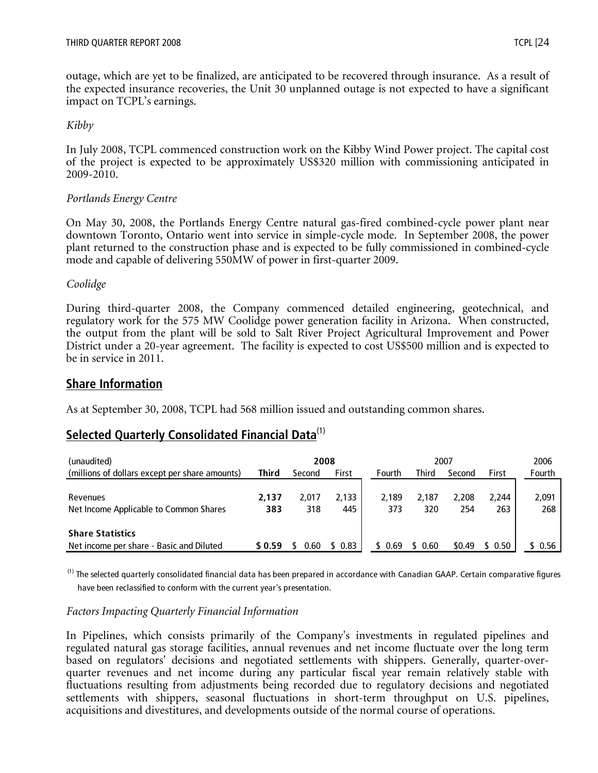outage, which are yet to be finalized, are anticipated to be recovered through insurance. As a result of the expected insurance recoveries, the Unit 30 unplanned outage is not expected to have a significant impact on TCPL's earnings.

## *Kibby*

In July 2008, TCPL commenced construction work on the Kibby Wind Power project. The capital cost of the project is expected to be approximately US\$320 million with commissioning anticipated in 2009-2010.

# *Portlands Energy Centre*

On May 30, 2008, the Portlands Energy Centre natural gas-fired combined-cycle power plant near downtown Toronto, Ontario went into service in simple-cycle mode. In September 2008, the power plant returned to the construction phase and is expected to be fully commissioned in combined-cycle mode and capable of delivering 550MW of power in first-quarter 2009.

*Coolidge* 

During third-quarter 2008, the Company commenced detailed engineering, geotechnical, and regulatory work for the 575 MW Coolidge power generation facility in Arizona. When constructed, the output from the plant will be sold to Salt River Project Agricultural Improvement and Power District under a 20-year agreement. The facility is expected to cost US\$500 million and is expected to be in service in 2011.

# **Share Information**

As at September 30, 2008, TCPL had 568 million issued and outstanding common shares.

# **Selected Quarterly Consolidated Financial Data**(1)

| (unaudited)                                    |              | 2008   |       |         |       | 2007   |       | 2006   |
|------------------------------------------------|--------------|--------|-------|---------|-------|--------|-------|--------|
| (millions of dollars except per share amounts) | <b>Third</b> | Second | First | Fourth  | Third | Second | First | Fourth |
|                                                |              |        |       |         |       |        |       |        |
| Revenues                                       | 2.137        | 2.017  | 2.133 | 2.189   | 2.187 | 2.208  | 2.244 | 2,091  |
| Net Income Applicable to Common Shares         | 383          | 318    | 445   | 373     | 320   | 254    | 263   | 268    |
|                                                |              |        |       |         |       |        |       |        |
| <b>Share Statistics</b>                        |              |        |       |         |       |        |       |        |
| Net income per share - Basic and Diluted       | \$0.59       | 0.60   | 0.83  | \$ 0.69 | 0.60  | \$0.49 | 0.50  | 0.56   |

<sup>(1)</sup> The selected quarterly consolidated financial data has been prepared in accordance with Canadian GAAP. Certain comparative figures have been reclassified to conform with the current year's presentation.

## *Factors Impacting Quarterly Financial Information*

In Pipelines, which consists primarily of the Company's investments in regulated pipelines and regulated natural gas storage facilities, annual revenues and net income fluctuate over the long term based on regulators' decisions and negotiated settlements with shippers. Generally, quarter-overquarter revenues and net income during any particular fiscal year remain relatively stable with fluctuations resulting from adjustments being recorded due to regulatory decisions and negotiated settlements with shippers, seasonal fluctuations in short-term throughput on U.S. pipelines, acquisitions and divestitures, and developments outside of the normal course of operations.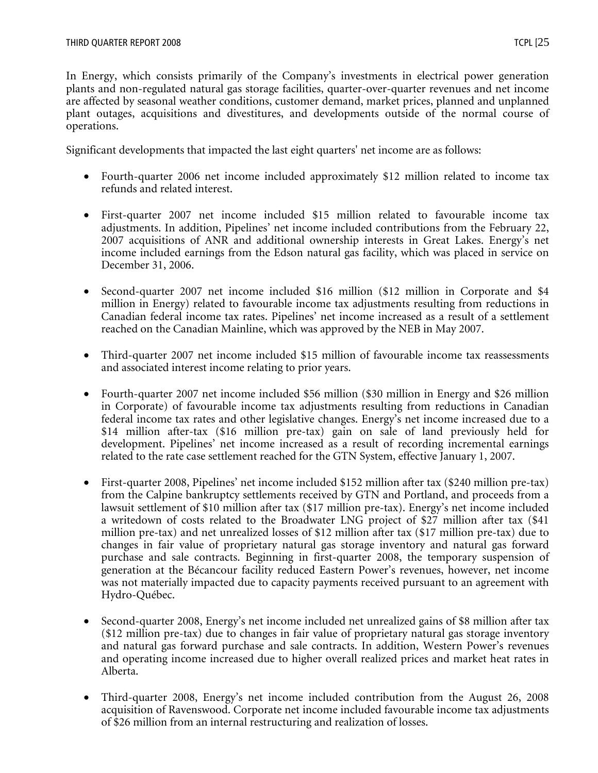In Energy, which consists primarily of the Company's investments in electrical power generation plants and non-regulated natural gas storage facilities, quarter-over-quarter revenues and net income are affected by seasonal weather conditions, customer demand, market prices, planned and unplanned plant outages, acquisitions and divestitures, and developments outside of the normal course of operations.

Significant developments that impacted the last eight quarters' net income are as follows:

- Fourth-quarter 2006 net income included approximately \$12 million related to income tax refunds and related interest.
- First-quarter 2007 net income included \$15 million related to favourable income tax adjustments. In addition, Pipelines' net income included contributions from the February 22, 2007 acquisitions of ANR and additional ownership interests in Great Lakes. Energy's net income included earnings from the Edson natural gas facility, which was placed in service on December 31, 2006.
- Second-quarter 2007 net income included \$16 million (\$12 million in Corporate and \$4 million in Energy) related to favourable income tax adjustments resulting from reductions in Canadian federal income tax rates. Pipelines' net income increased as a result of a settlement reached on the Canadian Mainline, which was approved by the NEB in May 2007.
- Third-quarter 2007 net income included \$15 million of favourable income tax reassessments and associated interest income relating to prior years.
- Fourth-quarter 2007 net income included \$56 million (\$30 million in Energy and \$26 million in Corporate) of favourable income tax adjustments resulting from reductions in Canadian federal income tax rates and other legislative changes. Energy's net income increased due to a \$14 million after-tax (\$16 million pre-tax) gain on sale of land previously held for development. Pipelines' net income increased as a result of recording incremental earnings related to the rate case settlement reached for the GTN System, effective January 1, 2007.
- First-quarter 2008, Pipelines' net income included \$152 million after tax (\$240 million pre-tax) from the Calpine bankruptcy settlements received by GTN and Portland, and proceeds from a lawsuit settlement of \$10 million after tax (\$17 million pre-tax). Energy's net income included a writedown of costs related to the Broadwater LNG project of \$27 million after tax (\$41 million pre-tax) and net unrealized losses of \$12 million after tax (\$17 million pre-tax) due to changes in fair value of proprietary natural gas storage inventory and natural gas forward purchase and sale contracts. Beginning in first-quarter 2008, the temporary suspension of generation at the Bécancour facility reduced Eastern Power's revenues, however, net income was not materially impacted due to capacity payments received pursuant to an agreement with Hydro-Québec.
- Second-quarter 2008, Energy's net income included net unrealized gains of \$8 million after tax (\$12 million pre-tax) due to changes in fair value of proprietary natural gas storage inventory and natural gas forward purchase and sale contracts. In addition, Western Power's revenues and operating income increased due to higher overall realized prices and market heat rates in Alberta.
- Third-quarter 2008, Energy's net income included contribution from the August 26, 2008 acquisition of Ravenswood. Corporate net income included favourable income tax adjustments of \$26 million from an internal restructuring and realization of losses.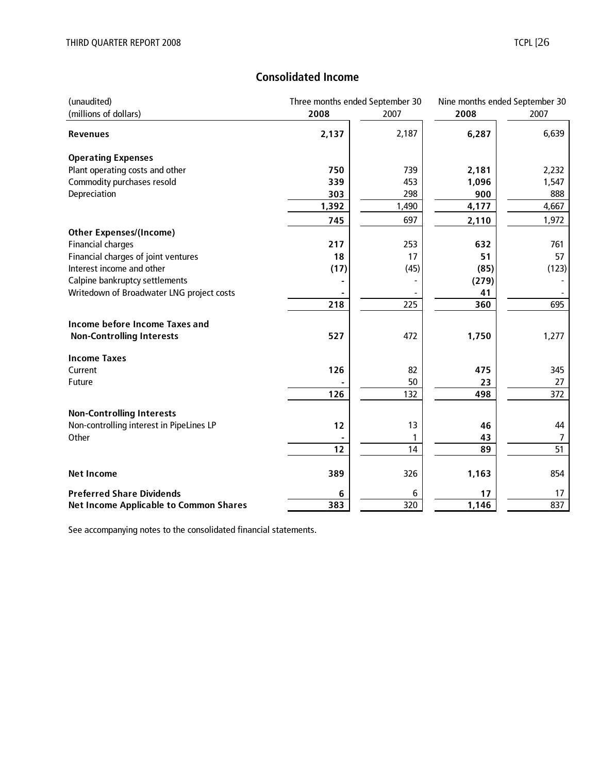# **Consolidated Income**

| (unaudited)                                   | Three months ended September 30 | Nine months ended September 30 |       |       |  |
|-----------------------------------------------|---------------------------------|--------------------------------|-------|-------|--|
| (millions of dollars)                         | 2008                            | 2007                           | 2008  | 2007  |  |
| <b>Revenues</b>                               | 2,137                           | 2,187                          | 6,287 | 6,639 |  |
| <b>Operating Expenses</b>                     |                                 |                                |       |       |  |
| Plant operating costs and other               | 750                             | 739                            | 2,181 | 2,232 |  |
| Commodity purchases resold                    | 339                             | 453                            | 1,096 | 1,547 |  |
| Depreciation                                  | 303                             | 298                            | 900   | 888   |  |
|                                               | 1,392                           | 1,490                          | 4,177 | 4,667 |  |
|                                               | 745                             | 697                            | 2,110 | 1,972 |  |
| <b>Other Expenses/(Income)</b>                |                                 |                                |       |       |  |
| <b>Financial charges</b>                      | 217                             | 253                            | 632   | 761   |  |
| Financial charges of joint ventures           | 18                              | 17                             | 51    | 57    |  |
| Interest income and other                     | (17)                            | (45)                           | (85)  | (123) |  |
| Calpine bankruptcy settlements                |                                 |                                | (279) |       |  |
| Writedown of Broadwater LNG project costs     |                                 |                                | 41    |       |  |
|                                               | 218                             | 225                            | 360   | 695   |  |
| <b>Income before Income Taxes and</b>         |                                 |                                |       |       |  |
| <b>Non-Controlling Interests</b>              | 527                             | 472                            | 1,750 | 1,277 |  |
| <b>Income Taxes</b>                           |                                 |                                |       |       |  |
| Current                                       | 126                             | 82                             | 475   | 345   |  |
| Future                                        |                                 | 50                             | 23    | 27    |  |
|                                               | 126                             | 132                            | 498   | 372   |  |
| <b>Non-Controlling Interests</b>              |                                 |                                |       |       |  |
| Non-controlling interest in PipeLines LP      | 12                              | 13                             | 46    | 44    |  |
| Other                                         |                                 | 1                              | 43    | 7     |  |
|                                               | 12                              | 14                             | 89    | 51    |  |
|                                               |                                 |                                |       |       |  |
| <b>Net Income</b>                             | 389                             | 326                            | 1,163 | 854   |  |
| <b>Preferred Share Dividends</b>              | 6                               | 6                              | 17    | 17    |  |
| <b>Net Income Applicable to Common Shares</b> | 383                             | $\overline{320}$               | 1,146 | 837   |  |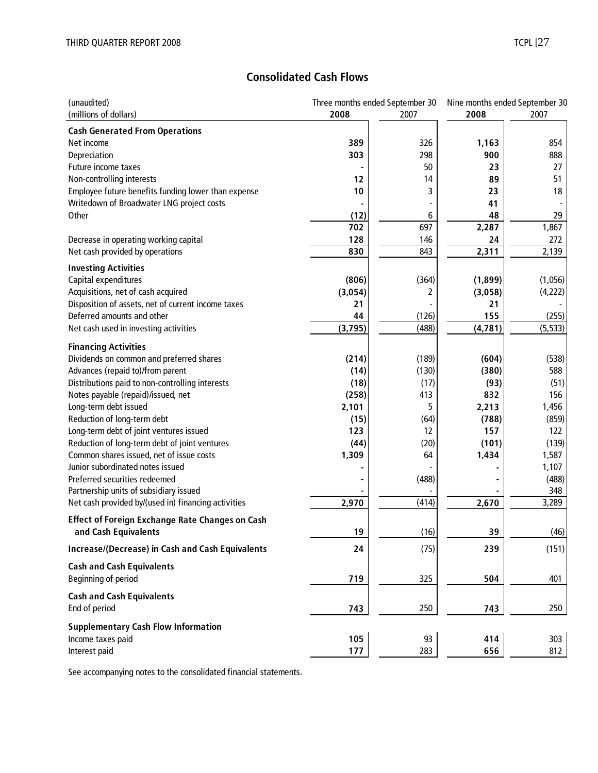# **Consolidated Cash Flows**

| (unaudited)                                                                                   | Three months ended September 30 |       | Nine months ended September 30 |              |  |
|-----------------------------------------------------------------------------------------------|---------------------------------|-------|--------------------------------|--------------|--|
| (millions of dollars)                                                                         | 2008                            | 2007  | 2008                           | 2007         |  |
| <b>Cash Generated From Operations</b>                                                         |                                 |       |                                |              |  |
| Net income                                                                                    | 389                             | 326   | 1,163                          | 854          |  |
| Depreciation                                                                                  | 303                             | 298   | 900                            | 888          |  |
| Future income taxes                                                                           |                                 | 50    | 23                             | 27           |  |
| Non-controlling interests                                                                     | 12                              | 14    | 89                             | 51           |  |
| Employee future benefits funding lower than expense                                           | 10                              | 3     | 23                             | 18           |  |
| Writedown of Broadwater LNG project costs                                                     |                                 |       | 41                             |              |  |
| Other                                                                                         | (12)                            | 6     | 48                             | 29           |  |
|                                                                                               | 702                             | 697   | 2,287                          | 1,867        |  |
| Decrease in operating working capital                                                         | 128                             | 146   | 24                             | 272          |  |
| Net cash provided by operations                                                               | 830                             | 843   | 2,311                          | 2,139        |  |
| <b>Investing Activities</b>                                                                   |                                 |       |                                |              |  |
| Capital expenditures                                                                          | (806)                           | (364) | (1,899)                        | (1,056)      |  |
| Acquisitions, net of cash acquired                                                            | (3,054)                         | 2     | (3,058)                        | (4,222)      |  |
| Disposition of assets, net of current income taxes                                            | 21                              |       | 21                             |              |  |
| Deferred amounts and other                                                                    | 44                              | (126) | 155                            | (255)        |  |
| Net cash used in investing activities                                                         | (3,795)                         | (488) | (4, 781)                       | (5, 533)     |  |
|                                                                                               |                                 |       |                                |              |  |
| <b>Financing Activities</b>                                                                   |                                 |       |                                |              |  |
| Dividends on common and preferred shares                                                      | (214)                           | (189) | (604)                          | (538)        |  |
| Advances (repaid to)/from parent                                                              | (14)                            | (130) | (380)                          | 588          |  |
| Distributions paid to non-controlling interests                                               | (18)                            | (17)  | (93)                           | (51)         |  |
| Notes payable (repaid)/issued, net                                                            | (258)                           | 413   | 832                            | 156          |  |
| Long-term debt issued                                                                         | 2,101                           | 5     | 2,213                          | 1,456        |  |
| Reduction of long-term debt                                                                   | (15)                            | (64)  | (788)                          | (859)        |  |
| Long-term debt of joint ventures issued                                                       | 123                             | 12    | 157                            | 122          |  |
| Reduction of long-term debt of joint ventures                                                 | (44)                            | (20)  | (101)                          | (139)        |  |
| Common shares issued, net of issue costs                                                      | 1,309                           | 64    | 1,434                          | 1,587        |  |
| Junior subordinated notes issued                                                              |                                 |       |                                | 1,107        |  |
| Preferred securities redeemed                                                                 |                                 | (488) |                                | (488)        |  |
| Partnership units of subsidiary issued<br>Net cash provided by/(used in) financing activities |                                 | (414) | 2,670                          | 348<br>3,289 |  |
|                                                                                               | 2,970                           |       |                                |              |  |
| <b>Effect of Foreign Exchange Rate Changes on Cash</b>                                        |                                 |       |                                |              |  |
| and Cash Equivalents                                                                          | 19                              | (16)  | 39                             | (46)         |  |
| Increase/(Decrease) in Cash and Cash Equivalents                                              | 24                              | (75)  | 239                            | (151)        |  |
| <b>Cash and Cash Equivalents</b>                                                              |                                 |       |                                |              |  |
| Beginning of period                                                                           | 719                             | 325   | 504                            | 401          |  |
| <b>Cash and Cash Equivalents</b>                                                              |                                 |       |                                |              |  |
| End of period                                                                                 | 743                             | 250   | 743                            | 250          |  |
| <b>Supplementary Cash Flow Information</b>                                                    |                                 |       |                                |              |  |
| Income taxes paid                                                                             | 105                             | 93    | 414                            | 303          |  |
| Interest paid                                                                                 | 177                             | 283   | 656                            | 812          |  |
|                                                                                               |                                 |       |                                |              |  |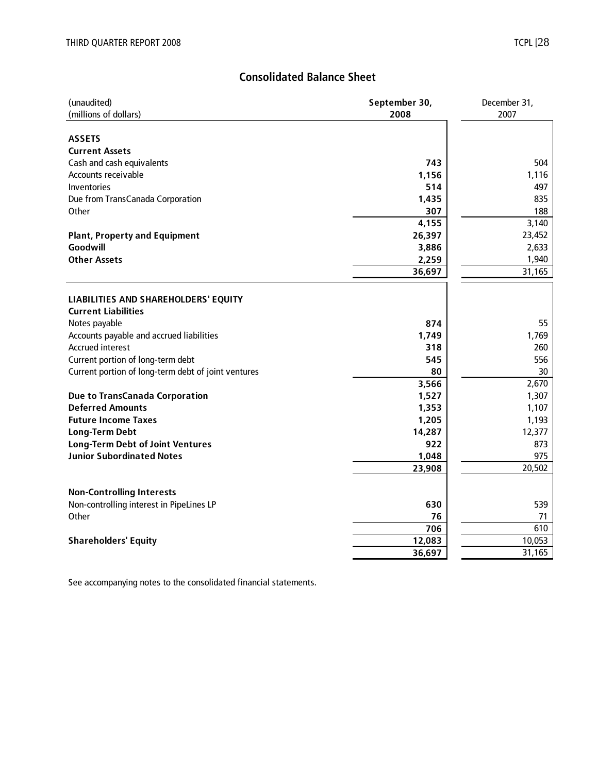## **Consolidated Balance Sheet**

| (unaudited)                                         | September 30, | December 31, |  |  |
|-----------------------------------------------------|---------------|--------------|--|--|
| (millions of dollars)                               | 2008          | 2007         |  |  |
|                                                     |               |              |  |  |
| <b>ASSETS</b>                                       |               |              |  |  |
| <b>Current Assets</b>                               |               |              |  |  |
| Cash and cash equivalents                           | 743           | 504          |  |  |
| Accounts receivable                                 | 1,156         | 1,116        |  |  |
| Inventories                                         | 514           | 497          |  |  |
| Due from TransCanada Corporation                    | 1,435         | 835          |  |  |
| Other                                               | 307           | 188          |  |  |
|                                                     | 4,155         | 3,140        |  |  |
| <b>Plant, Property and Equipment</b>                | 26,397        | 23,452       |  |  |
| Goodwill                                            | 3,886         | 2,633        |  |  |
| <b>Other Assets</b>                                 | 2,259         | 1,940        |  |  |
|                                                     | 36,697        | 31,165       |  |  |
|                                                     |               |              |  |  |
| LIABILITIES AND SHAREHOLDERS' EQUITY                |               |              |  |  |
| <b>Current Liabilities</b>                          |               |              |  |  |
| Notes payable                                       | 874           | 55           |  |  |
| Accounts payable and accrued liabilities            | 1,749         | 1,769        |  |  |
| <b>Accrued interest</b>                             | 318           | 260          |  |  |
| Current portion of long-term debt                   | 545           | 556          |  |  |
| Current portion of long-term debt of joint ventures | 80            | 30           |  |  |
|                                                     | 3,566         | 2,670        |  |  |
| <b>Due to TransCanada Corporation</b>               | 1,527         | 1,307        |  |  |
| <b>Deferred Amounts</b>                             | 1,353         | 1,107        |  |  |
| <b>Future Income Taxes</b>                          | 1,205         | 1,193        |  |  |
| <b>Long-Term Debt</b>                               | 14,287        | 12,377       |  |  |
| <b>Long-Term Debt of Joint Ventures</b>             | 922           | 873          |  |  |
| <b>Junior Subordinated Notes</b>                    | 1,048         | 975          |  |  |
|                                                     | 23,908        | 20,502       |  |  |
|                                                     |               |              |  |  |
| <b>Non-Controlling Interests</b>                    |               |              |  |  |
| Non-controlling interest in PipeLines LP            | 630           | 539          |  |  |
| Other                                               | 76            | 71           |  |  |
|                                                     | 706           | 610          |  |  |
| <b>Shareholders' Equity</b>                         | 12,083        | 10,053       |  |  |
|                                                     | 36,697        | 31,165       |  |  |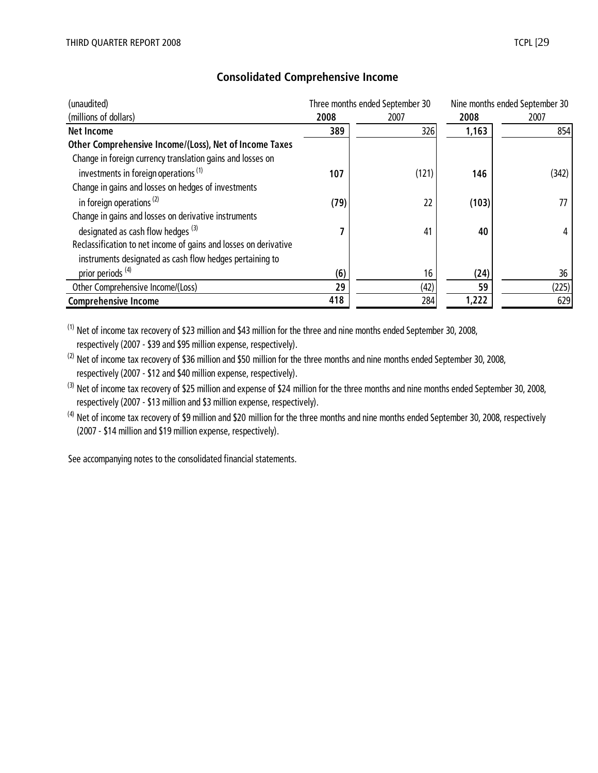| (unaudited)                                                      |      | Three months ended September 30 |       | Nine months ended September 30 |
|------------------------------------------------------------------|------|---------------------------------|-------|--------------------------------|
| (millions of dollars)                                            | 2008 | 2007                            | 2008  | 2007                           |
| Net Income                                                       | 389  | 326                             | 1,163 | 854                            |
| Other Comprehensive Income/(Loss), Net of Income Taxes           |      |                                 |       |                                |
| Change in foreign currency translation gains and losses on       |      |                                 |       |                                |
| investments in foreign operations <sup>(1)</sup>                 | 107  | (121)                           | 146   | (342)                          |
| Change in gains and losses on hedges of investments              |      |                                 |       |                                |
| in foreign operations $(2)$                                      | (79) | 22                              | (103) | 77                             |
| Change in gains and losses on derivative instruments             |      |                                 |       |                                |
| designated as cash flow hedges $(3)$                             |      | 41                              | 40    | 4                              |
| Reclassification to net income of gains and losses on derivative |      |                                 |       |                                |
| instruments designated as cash flow hedges pertaining to         |      |                                 |       |                                |
| prior periods <sup>(4)</sup>                                     | (6)  | 16                              | (24)  | 36                             |
| Other Comprehensive Income/(Loss)                                | 29   | (42)                            | 59    | (225)                          |
| <b>Comprehensive Income</b>                                      | 418  | 284                             | 1,222 | 629                            |

# **Consolidated Comprehensive Income**

(1) Net of income tax recovery of \$23 million and \$43 million for the three and nine months ended September 30, 2008, respectively (2007 - \$39 and \$95 million expense, respectively).

<sup>(2)</sup> Net of income tax recovery of \$36 million and \$50 million for the three months and nine months ended September 30, 2008, respectively (2007 - \$12 and \$40 million expense, respectively).

 $^{(3)}$  Net of income tax recovery of \$25 million and expense of \$24 million for the three months and nine months ended September 30, 2008, respectively (2007 - \$13 million and \$3 million expense, respectively).

 $(4)$  Net of income tax recovery of \$9 million and \$20 million for the three months and nine months ended September 30, 2008, respectively (2007 - \$14 million and \$19 million expense, respectively).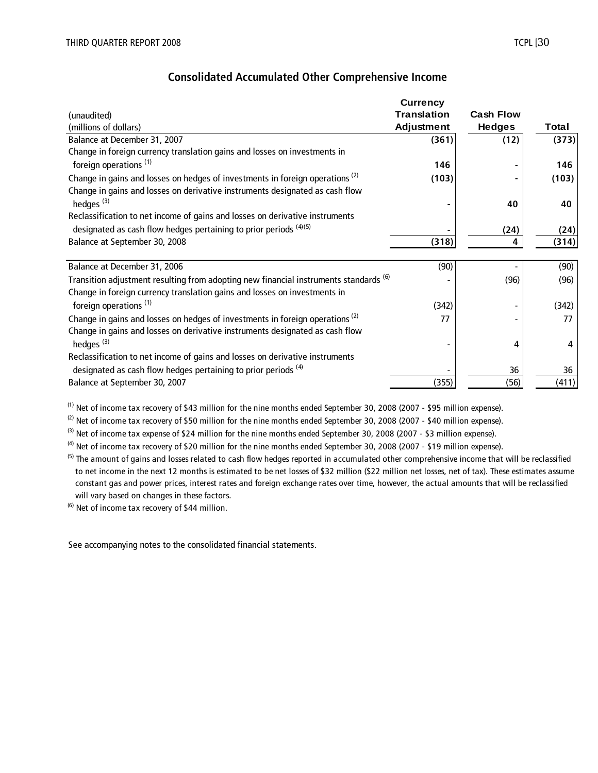|                                                                                          | <b>Currency</b>    |                  |       |
|------------------------------------------------------------------------------------------|--------------------|------------------|-------|
| (unaudited)                                                                              | <b>Translation</b> | <b>Cash Flow</b> |       |
| (millions of dollars)                                                                    | Adjustment         | <b>Hedges</b>    | Total |
| Balance at December 31, 2007                                                             | (361)              | (12)             | (373) |
| Change in foreign currency translation gains and losses on investments in                |                    |                  |       |
| foreign operations <sup>(1)</sup>                                                        | 146                |                  | 146   |
| Change in gains and losses on hedges of investments in foreign operations <sup>(2)</sup> | (103)              |                  | (103) |
| Change in gains and losses on derivative instruments designated as cash flow             |                    |                  |       |
| hedges <sup>(3)</sup>                                                                    |                    | 40               | 40    |
| Reclassification to net income of gains and losses on derivative instruments             |                    |                  |       |
| designated as cash flow hedges pertaining to prior periods (4)(5)                        |                    | (24)             | (24)  |
| Balance at September 30, 2008                                                            | (318)              | 4                | (314) |
|                                                                                          |                    |                  |       |
| Balance at December 31, 2006                                                             | (90)               |                  | (90)  |
| Transition adjustment resulting from adopting new financial instruments standards (6)    |                    | (96)             | (96)  |
| Change in foreign currency translation gains and losses on investments in                |                    |                  |       |
| foreign operations <sup>(1)</sup>                                                        | (342)              |                  | (342) |
| Change in gains and losses on hedges of investments in foreign operations <sup>(2)</sup> | 77                 |                  | 77    |
| Change in gains and losses on derivative instruments designated as cash flow             |                    |                  |       |
| hedges <sup>(3)</sup>                                                                    |                    | 4                | 4     |
| Reclassification to net income of gains and losses on derivative instruments             |                    |                  |       |
| designated as cash flow hedges pertaining to prior periods <sup>(4)</sup>                |                    | 36               | 36    |
| Balance at September 30, 2007                                                            | (355)              | (56)             | (411) |

 $^{(1)}$  Net of income tax recovery of \$43 million for the nine months ended September 30, 2008 (2007 - \$95 million expense).

 $(2)$  Net of income tax recovery of \$50 million for the nine months ended September 30, 2008 (2007 - \$40 million expense).

 $(3)$  Net of income tax expense of \$24 million for the nine months ended September 30, 2008 (2007 - \$3 million expense).

 $^{(4)}$  Net of income tax recovery of \$20 million for the nine months ended September 30, 2008 (2007 - \$19 million expense).

 $<sup>(5)</sup>$  The amount of gains and losses related to cash flow hedges reported in accumulated other comprehensive income that will be reclassified</sup> to net income in the next 12 months is estimated to be net losses of \$32 million (\$22 million net losses, net of tax). These estimates assume constant gas and power prices, interest rates and foreign exchange rates over time, however, the actual amounts that will be reclassified will vary based on changes in these factors.

(6) Net of income tax recovery of \$44 million.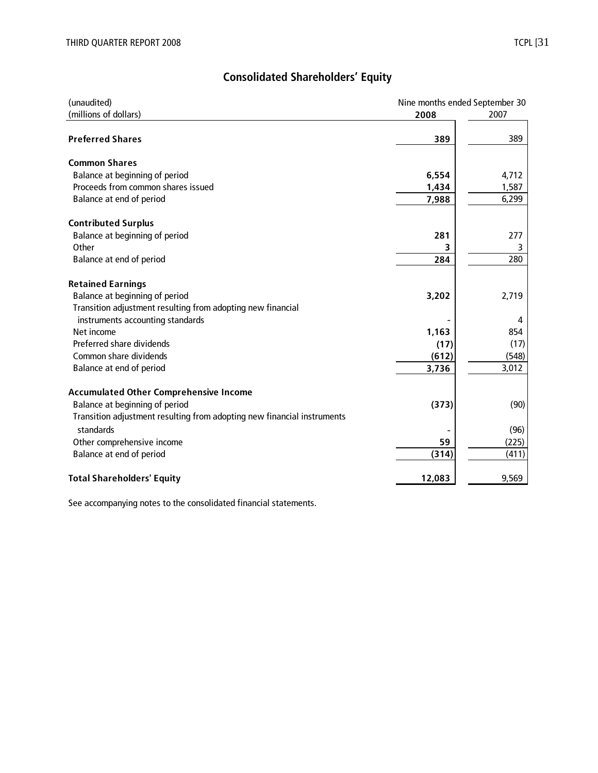| (unaudited)                                                             | Nine months ended September 30 |       |
|-------------------------------------------------------------------------|--------------------------------|-------|
| (millions of dollars)                                                   | 2008                           | 2007  |
| <b>Preferred Shares</b>                                                 | 389                            | 389   |
| <b>Common Shares</b>                                                    |                                |       |
| Balance at beginning of period                                          | 6,554                          | 4,712 |
| Proceeds from common shares issued                                      | 1,434                          | 1,587 |
| Balance at end of period                                                | 7,988                          | 6,299 |
| <b>Contributed Surplus</b>                                              |                                |       |
| Balance at beginning of period                                          | 281                            | 277   |
| Other                                                                   |                                | 3     |
| Balance at end of period                                                | 284                            | 280   |
| <b>Retained Earnings</b>                                                |                                |       |
| Balance at beginning of period                                          | 3,202                          | 2,719 |
| Transition adjustment resulting from adopting new financial             |                                |       |
| instruments accounting standards                                        |                                | 4     |
| Net income                                                              | 1,163                          | 854   |
| Preferred share dividends                                               | (17)                           | (17)  |
| Common share dividends                                                  | (612)                          | (548) |
| Balance at end of period                                                | 3,736                          | 3,012 |
| <b>Accumulated Other Comprehensive Income</b>                           |                                |       |
| Balance at beginning of period                                          | (373)                          | (90)  |
| Transition adjustment resulting from adopting new financial instruments |                                |       |
| standards                                                               |                                | (96)  |
| Other comprehensive income                                              | 59                             | (225) |
| Balance at end of period                                                | (314)                          | (411) |
| <b>Total Shareholders' Equity</b>                                       | 12,083                         | 9,569 |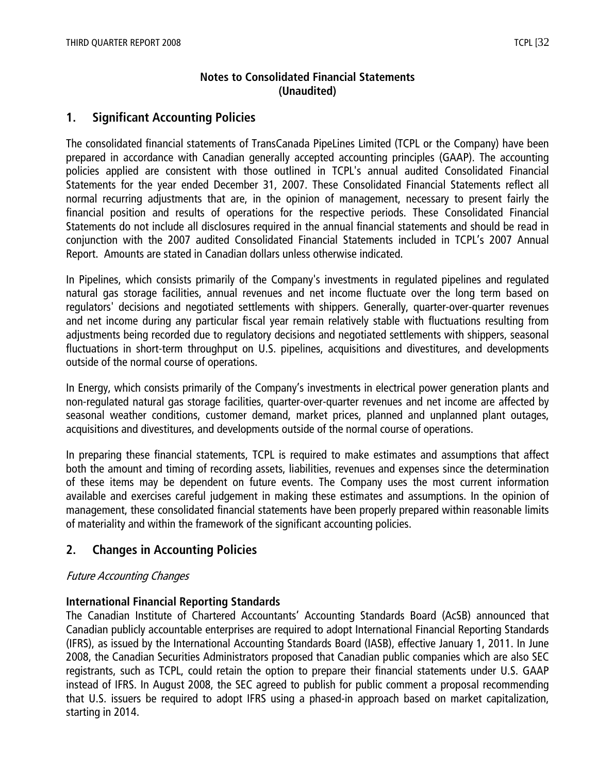# **Notes to Consolidated Financial Statements (Unaudited)**

# **1. Significant Accounting Policies**

The consolidated financial statements of TransCanada PipeLines Limited (TCPL or the Company) have been prepared in accordance with Canadian generally accepted accounting principles (GAAP). The accounting policies applied are consistent with those outlined in TCPL's annual audited Consolidated Financial Statements for the year ended December 31, 2007. These Consolidated Financial Statements reflect all normal recurring adjustments that are, in the opinion of management, necessary to present fairly the financial position and results of operations for the respective periods. These Consolidated Financial Statements do not include all disclosures required in the annual financial statements and should be read in conjunction with the 2007 audited Consolidated Financial Statements included in TCPL's 2007 Annual Report. Amounts are stated in Canadian dollars unless otherwise indicated.

In Pipelines, which consists primarily of the Company's investments in regulated pipelines and regulated natural gas storage facilities, annual revenues and net income fluctuate over the long term based on regulators' decisions and negotiated settlements with shippers. Generally, quarter-over-quarter revenues and net income during any particular fiscal year remain relatively stable with fluctuations resulting from adjustments being recorded due to regulatory decisions and negotiated settlements with shippers, seasonal fluctuations in short-term throughput on U.S. pipelines, acquisitions and divestitures, and developments outside of the normal course of operations.

In Energy, which consists primarily of the Company's investments in electrical power generation plants and non-regulated natural gas storage facilities, quarter-over-quarter revenues and net income are affected by seasonal weather conditions, customer demand, market prices, planned and unplanned plant outages, acquisitions and divestitures, and developments outside of the normal course of operations.

In preparing these financial statements, TCPL is required to make estimates and assumptions that affect both the amount and timing of recording assets, liabilities, revenues and expenses since the determination of these items may be dependent on future events. The Company uses the most current information available and exercises careful judgement in making these estimates and assumptions. In the opinion of management, these consolidated financial statements have been properly prepared within reasonable limits of materiality and within the framework of the significant accounting policies.

# **2. Changes in Accounting Policies**

# Future Accounting Changes

# **International Financial Reporting Standards**

The Canadian Institute of Chartered Accountants' Accounting Standards Board (AcSB) announced that Canadian publicly accountable enterprises are required to adopt International Financial Reporting Standards (IFRS), as issued by the International Accounting Standards Board (IASB), effective January 1, 2011. In June 2008, the Canadian Securities Administrators proposed that Canadian public companies which are also SEC registrants, such as TCPL, could retain the option to prepare their financial statements under U.S. GAAP instead of IFRS. In August 2008, the SEC agreed to publish for public comment a proposal recommending that U.S. issuers be required to adopt IFRS using a phased-in approach based on market capitalization, starting in 2014.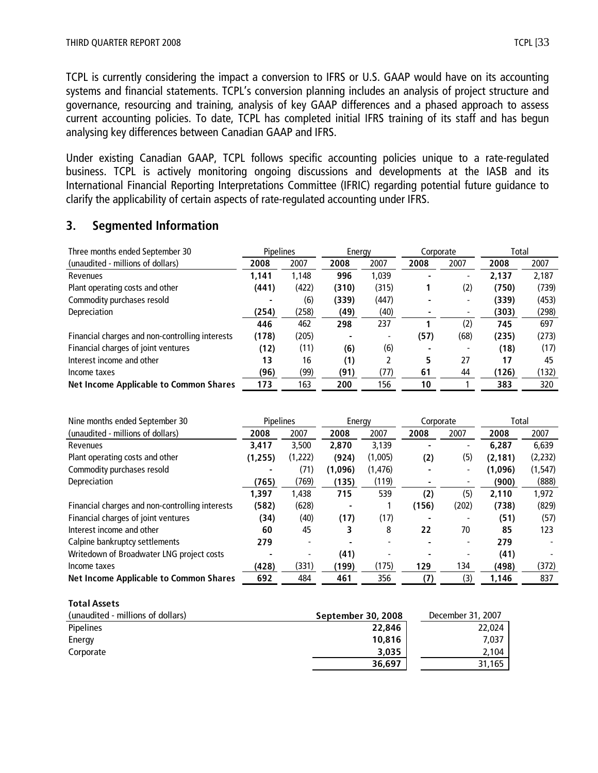TCPL is currently considering the impact a conversion to IFRS or U.S. GAAP would have on its accounting systems and financial statements. TCPL's conversion planning includes an analysis of project structure and governance, resourcing and training, analysis of key GAAP differences and a phased approach to assess current accounting policies. To date, TCPL has completed initial IFRS training of its staff and has begun analysing key differences between Canadian GAAP and IFRS.

Under existing Canadian GAAP, TCPL follows specific accounting policies unique to a rate-regulated business. TCPL is actively monitoring ongoing discussions and developments at the IASB and its International Financial Reporting Interpretations Committee (IFRIC) regarding potential future guidance to clarify the applicability of certain aspects of rate-regulated accounting under IFRS.

# **3. Segmented Information**

| Three months ended September 30                 | <b>Pipelines</b><br>Energy |       | Corporate |       | Total |      |       |       |
|-------------------------------------------------|----------------------------|-------|-----------|-------|-------|------|-------|-------|
| (unaudited - millions of dollars)               | 2008                       | 2007  | 2008      | 2007  | 2008  | 2007 | 2008  | 2007  |
| Revenues                                        | 1.141                      | 1.148 | 996       | 1.039 |       |      | 2,137 | 2,187 |
| Plant operating costs and other                 | (441)                      | (422) | (310)     | (315) |       | (2)  | (750) | (739) |
| Commodity purchases resold                      |                            | (6)   | (339)     | (447) |       |      | (339) | (453) |
| Depreciation                                    | (254)                      | (258) | (49)      | (40)  |       | ۰    | (303) | (298) |
|                                                 | 446                        | 462   | 298       | 237   |       | (2)  | 745   | 697   |
| Financial charges and non-controlling interests | (178)                      | (205) |           |       | (57)  | (68) | (235) | (273) |
| Financial charges of joint ventures             | (12)                       | (11)  | (6)       | (6)   |       |      | (18)  | (17)  |
| Interest income and other                       | 13                         | 16    | (1)       |       | 5     | 27   | 17    | 45    |
| Income taxes                                    | (96)                       | (99)  | (91)      | (77)  | 61    | 44   | (126) | (132) |
| <b>Net Income Applicable to Common Shares</b>   | 173                        | 163   | 200       | 156   | 10    |      | 383   | 320   |

| Nine months ended September 30                  | <b>Pipelines</b> |         | Energy  |          | Corporate |                          | Total    |          |
|-------------------------------------------------|------------------|---------|---------|----------|-----------|--------------------------|----------|----------|
| (unaudited - millions of dollars)               | 2008             | 2007    | 2008    | 2007     | 2008      | 2007                     | 2008     | 2007     |
| Revenues                                        | 3,417            | 3,500   | 2,870   | 3,139    |           |                          | 6,287    | 6,639    |
| Plant operating costs and other                 | (1,255)          | (1,222) | (924)   | (1,005)  | (2)       | (5)                      | (2, 181) | (2, 232) |
| Commodity purchases resold                      |                  | (71)    | (1,096) | (1, 476) |           | ۰                        | (1,096)  | (1, 547) |
| Depreciation                                    | (765)            | (769)   | (135)   | (119)    |           |                          | (900)    | (888)    |
|                                                 | 1,397            | 1.438   | 715     | 539      | (2)       | (5)                      | 2.110    | 1,972    |
| Financial charges and non-controlling interests | (582)            | (628)   |         |          | (156)     | (202)                    | (738)    | (829)    |
| Financial charges of joint ventures             | (34)             | (40)    | (17)    | (17)     |           |                          | (51)     | (57)     |
| Interest income and other                       | 60               | 45      | 3       | 8        | 22        | 70                       | 85       | 123      |
| Calpine bankruptcy settlements                  | 279              | ٠       |         |          |           | $\overline{\phantom{0}}$ | 279      |          |
| Writedown of Broadwater LNG project costs       |                  |         | (41)    |          |           |                          | (41)     |          |
| Income taxes                                    | (428)            | (331)   | (199)   | (175)    | 129       | 134                      | (498)    | (372)    |
| <b>Net Income Applicable to Common Shares</b>   | 692              | 484     | 461     | 356      | (7)       | (3)                      | 1.146    | 837      |

#### **Total Assets**

| (unaudited - millions of dollars) | September 30, 2008 | December 31, 2007 |
|-----------------------------------|--------------------|-------------------|
| <b>Pipelines</b>                  | 22,846             | 22,024            |
| Energy                            | 10,816             | 7,037             |
| Corporate                         | 3,035              | 2,104             |
|                                   | 36.697             | 31.165            |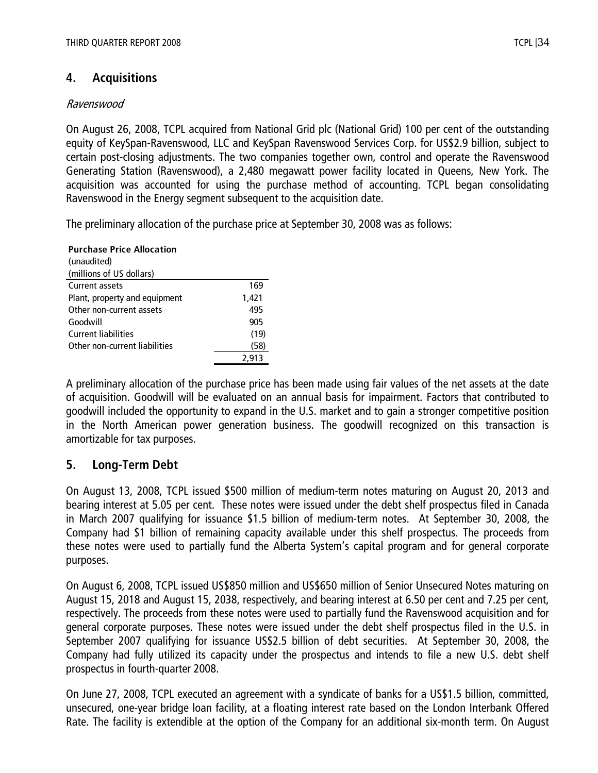# **4. Acquisitions**

## Ravenswood

On August 26, 2008, TCPL acquired from National Grid plc (National Grid) 100 per cent of the outstanding equity of KeySpan-Ravenswood, LLC and KeySpan Ravenswood Services Corp. for US\$2.9 billion, subject to certain post-closing adjustments. The two companies together own, control and operate the Ravenswood Generating Station (Ravenswood), a 2,480 megawatt power facility located in Queens, New York. The acquisition was accounted for using the purchase method of accounting. TCPL began consolidating Ravenswood in the Energy segment subsequent to the acquisition date.

The preliminary allocation of the purchase price at September 30, 2008 was as follows:

**Purchase Price Allocation** (unaudited) (millions of US dollars) Current assets 169 Plant, property and equipment 1,421 Other non-current assets 495 Goodwill 905 Current liabilities (19) Other non-current liabilities (58) 2,913

A preliminary allocation of the purchase price has been made using fair values of the net assets at the date of acquisition. Goodwill will be evaluated on an annual basis for impairment. Factors that contributed to goodwill included the opportunity to expand in the U.S. market and to gain a stronger competitive position in the North American power generation business. The goodwill recognized on this transaction is amortizable for tax purposes.

# **5. Long-Term Debt**

On August 13, 2008, TCPL issued \$500 million of medium-term notes maturing on August 20, 2013 and bearing interest at 5.05 per cent. These notes were issued under the debt shelf prospectus filed in Canada in March 2007 qualifying for issuance \$1.5 billion of medium-term notes. At September 30, 2008, the Company had \$1 billion of remaining capacity available under this shelf prospectus. The proceeds from these notes were used to partially fund the Alberta System's capital program and for general corporate purposes.

On August 6, 2008, TCPL issued US\$850 million and US\$650 million of Senior Unsecured Notes maturing on August 15, 2018 and August 15, 2038, respectively, and bearing interest at 6.50 per cent and 7.25 per cent, respectively. The proceeds from these notes were used to partially fund the Ravenswood acquisition and for general corporate purposes. These notes were issued under the debt shelf prospectus filed in the U.S. in September 2007 qualifying for issuance US\$2.5 billion of debt securities. At September 30, 2008, the Company had fully utilized its capacity under the prospectus and intends to file a new U.S. debt shelf prospectus in fourth-quarter 2008.

On June 27, 2008, TCPL executed an agreement with a syndicate of banks for a US\$1.5 billion, committed, unsecured, one-year bridge loan facility, at a floating interest rate based on the London Interbank Offered Rate. The facility is extendible at the option of the Company for an additional six-month term. On August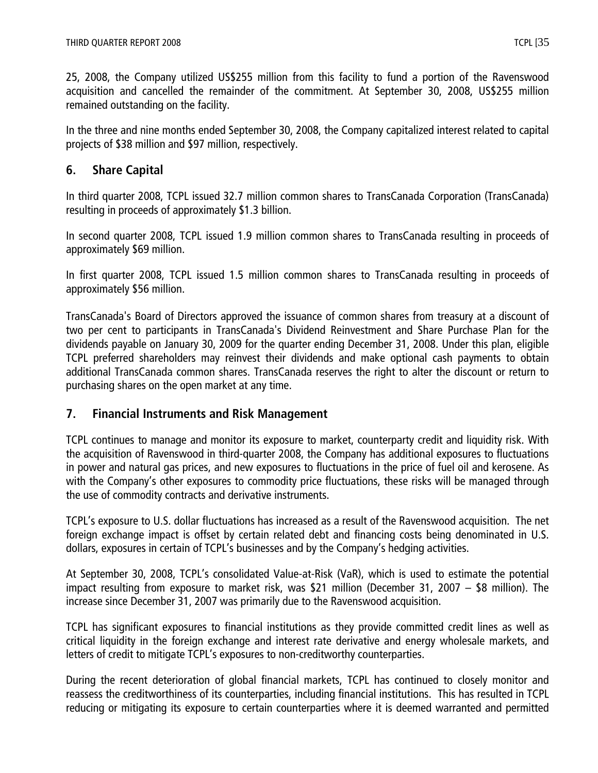25, 2008, the Company utilized US\$255 million from this facility to fund a portion of the Ravenswood acquisition and cancelled the remainder of the commitment. At September 30, 2008, US\$255 million remained outstanding on the facility.

In the three and nine months ended September 30, 2008, the Company capitalized interest related to capital projects of \$38 million and \$97 million, respectively.

# **6. Share Capital**

In third quarter 2008, TCPL issued 32.7 million common shares to TransCanada Corporation (TransCanada) resulting in proceeds of approximately \$1.3 billion.

In second quarter 2008, TCPL issued 1.9 million common shares to TransCanada resulting in proceeds of approximately \$69 million.

In first quarter 2008, TCPL issued 1.5 million common shares to TransCanada resulting in proceeds of approximately \$56 million.

TransCanada's Board of Directors approved the issuance of common shares from treasury at a discount of two per cent to participants in TransCanada's Dividend Reinvestment and Share Purchase Plan for the dividends payable on January 30, 2009 for the quarter ending December 31, 2008. Under this plan, eligible TCPL preferred shareholders may reinvest their dividends and make optional cash payments to obtain additional TransCanada common shares. TransCanada reserves the right to alter the discount or return to purchasing shares on the open market at any time.

# **7. Financial Instruments and Risk Management**

TCPL continues to manage and monitor its exposure to market, counterparty credit and liquidity risk. With the acquisition of Ravenswood in third-quarter 2008, the Company has additional exposures to fluctuations in power and natural gas prices, and new exposures to fluctuations in the price of fuel oil and kerosene. As with the Company's other exposures to commodity price fluctuations, these risks will be managed through the use of commodity contracts and derivative instruments.

TCPL's exposure to U.S. dollar fluctuations has increased as a result of the Ravenswood acquisition. The net foreign exchange impact is offset by certain related debt and financing costs being denominated in U.S. dollars, exposures in certain of TCPL's businesses and by the Company's hedging activities.

At September 30, 2008, TCPL's consolidated Value-at-Risk (VaR), which is used to estimate the potential impact resulting from exposure to market risk, was \$21 million (December 31, 2007 – \$8 million). The increase since December 31, 2007 was primarily due to the Ravenswood acquisition.

TCPL has significant exposures to financial institutions as they provide committed credit lines as well as critical liquidity in the foreign exchange and interest rate derivative and energy wholesale markets, and letters of credit to mitigate TCPL's exposures to non-creditworthy counterparties.

During the recent deterioration of global financial markets, TCPL has continued to closely monitor and reassess the creditworthiness of its counterparties, including financial institutions. This has resulted in TCPL reducing or mitigating its exposure to certain counterparties where it is deemed warranted and permitted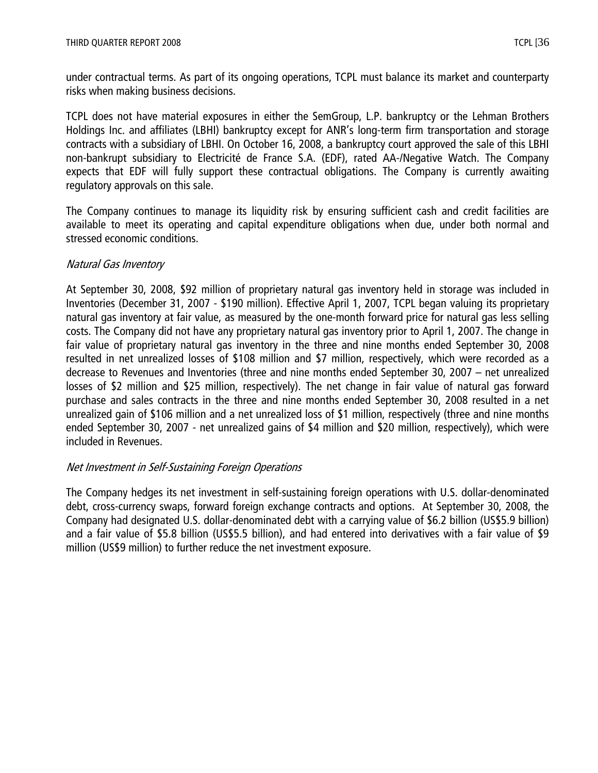under contractual terms. As part of its ongoing operations, TCPL must balance its market and counterparty risks when making business decisions.

TCPL does not have material exposures in either the SemGroup, L.P. bankruptcy or the Lehman Brothers Holdings Inc. and affiliates (LBHI) bankruptcy except for ANR's long-term firm transportation and storage contracts with a subsidiary of LBHI. On October 16, 2008, a bankruptcy court approved the sale of this LBHI non-bankrupt subsidiary to Electricité de France S.A. (EDF), rated AA-/Negative Watch. The Company expects that EDF will fully support these contractual obligations. The Company is currently awaiting regulatory approvals on this sale.

The Company continues to manage its liquidity risk by ensuring sufficient cash and credit facilities are available to meet its operating and capital expenditure obligations when due, under both normal and stressed economic conditions.

## Natural Gas Inventory

At September 30, 2008, \$92 million of proprietary natural gas inventory held in storage was included in Inventories (December 31, 2007 - \$190 million). Effective April 1, 2007, TCPL began valuing its proprietary natural gas inventory at fair value, as measured by the one-month forward price for natural gas less selling costs. The Company did not have any proprietary natural gas inventory prior to April 1, 2007. The change in fair value of proprietary natural gas inventory in the three and nine months ended September 30, 2008 resulted in net unrealized losses of \$108 million and \$7 million, respectively, which were recorded as a decrease to Revenues and Inventories (three and nine months ended September 30, 2007 – net unrealized losses of \$2 million and \$25 million, respectively). The net change in fair value of natural gas forward purchase and sales contracts in the three and nine months ended September 30, 2008 resulted in a net unrealized gain of \$106 million and a net unrealized loss of \$1 million, respectively (three and nine months ended September 30, 2007 - net unrealized gains of \$4 million and \$20 million, respectively), which were included in Revenues.

## Net Investment in Self-Sustaining Foreign Operations

The Company hedges its net investment in self-sustaining foreign operations with U.S. dollar-denominated debt, cross-currency swaps, forward foreign exchange contracts and options. At September 30, 2008, the Company had designated U.S. dollar-denominated debt with a carrying value of \$6.2 billion (US\$5.9 billion) and a fair value of \$5.8 billion (US\$5.5 billion), and had entered into derivatives with a fair value of \$9 million (US\$9 million) to further reduce the net investment exposure.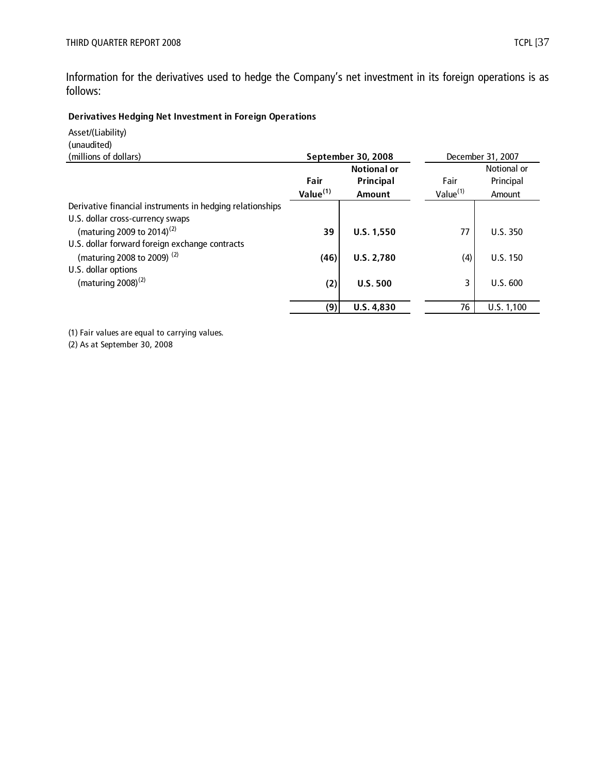Information for the derivatives used to hedge the Company's net investment in its foreign operations is as follows:

## **Derivatives Hedging Net Investment in Foreign Operations**

Asset/(Liability) (unaudited)

| September 30, 2008   |                    |                      | December 31, 2007 |
|----------------------|--------------------|----------------------|-------------------|
|                      | <b>Notional or</b> |                      | Notional or       |
| Fair                 | Principal          | Fair                 | Principal         |
| Value <sup>(1)</sup> | <b>Amount</b>      | Value <sup>(1)</sup> | Amount            |
|                      |                    |                      |                   |
|                      |                    |                      |                   |
| 39                   | U.S. 1,550         | 77                   | U.S.350           |
|                      |                    |                      |                   |
| (46)                 | <b>U.S. 2,780</b>  | (4)                  | <b>U.S. 150</b>   |
|                      |                    |                      |                   |
|                      | <b>U.S. 500</b>    | 3                    | U.S. 600          |
|                      |                    |                      |                   |
| (9)                  | U.S. 4,830         | 76                   | U.S. 1,100        |
|                      | (2)                |                      |                   |

(1) Fair values are equal to carrying values.

(2) As at September 30, 2008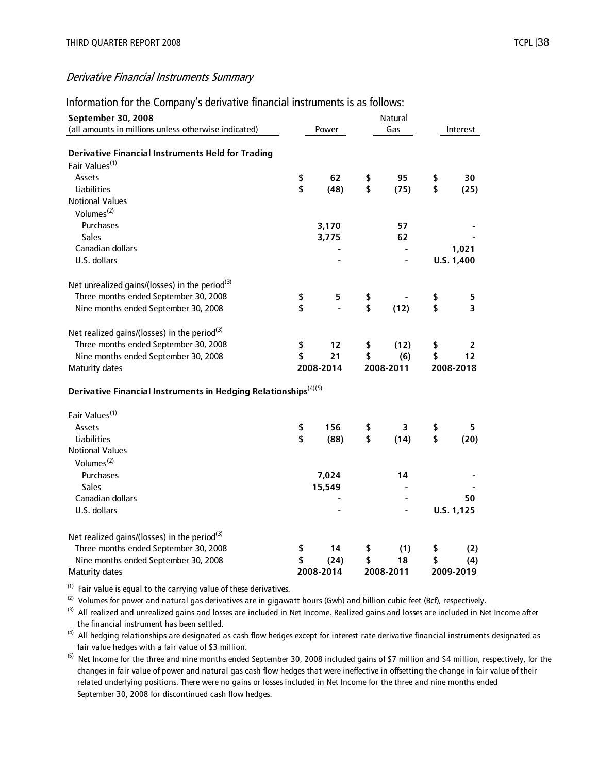| September 30, 2008<br>(all amounts in millions unless otherwise indicated)             | Power      |           | Natural<br>Gas |           | Interest   |
|----------------------------------------------------------------------------------------|------------|-----------|----------------|-----------|------------|
|                                                                                        |            |           |                |           |            |
| <b>Derivative Financial Instruments Held for Trading</b><br>Fair Values <sup>(1)</sup> |            |           |                |           |            |
| Assets                                                                                 | \$<br>62   |           | 95             |           | 30         |
| <b>Liabilities</b>                                                                     | \$<br>(48) | \$<br>\$  | (75)           | \$<br>\$  | (25)       |
| <b>Notional Values</b>                                                                 |            |           |                |           |            |
|                                                                                        |            |           |                |           |            |
| Volumes <sup>(2)</sup>                                                                 |            |           |                |           |            |
| Purchases                                                                              | 3,170      |           | 57             |           |            |
| <b>Sales</b>                                                                           | 3,775      |           | 62             |           |            |
| Canadian dollars                                                                       |            |           | $\blacksquare$ |           | 1,021      |
| U.S. dollars                                                                           |            |           |                |           | U.S. 1,400 |
| Net unrealized gains/(losses) in the period <sup>(3)</sup>                             |            |           |                |           |            |
| Three months ended September 30, 2008                                                  | \$<br>5    | \$        |                | \$        | 5          |
| Nine months ended September 30, 2008                                                   | \$         | \$        | (12)           | \$        | 3          |
|                                                                                        |            |           |                |           |            |
| Net realized gains/(losses) in the period <sup>(3)</sup>                               |            |           |                |           |            |
| Three months ended September 30, 2008                                                  | \$<br>12   | \$        | (12)           | \$        | 2          |
| Nine months ended September 30, 2008                                                   | \$<br>21   | \$        | (6)            | \$        | 12         |
| Maturity dates                                                                         | 2008-2014  | 2008-2011 |                | 2008-2018 |            |
|                                                                                        |            |           |                |           |            |
| Derivative Financial Instruments in Hedging Relationships <sup>(4)(5)</sup>            |            |           |                |           |            |
| Fair Values <sup>(1)</sup>                                                             |            |           |                |           |            |
| Assets                                                                                 | \$<br>156  | \$        | 3              | \$        | 5.         |
| <b>Liabilities</b>                                                                     | \$<br>(88) | \$        | (14)           | \$        | (20)       |
| <b>Notional Values</b>                                                                 |            |           |                |           |            |
| Volumes $(2)$                                                                          |            |           |                |           |            |
| Purchases                                                                              | 7,024      |           | 14             |           |            |
| <b>Sales</b>                                                                           | 15,549     |           |                |           |            |
| Canadian dollars                                                                       |            |           |                |           | 50         |
| U.S. dollars                                                                           |            |           |                |           | U.S. 1,125 |
|                                                                                        |            |           |                |           |            |
| Net realized gains/(losses) in the period <sup>(3)</sup>                               |            |           |                |           |            |
| Three months ended September 30, 2008                                                  | \$<br>14   | \$        | (1)            | \$        | (2)        |
| Nine months ended September 30, 2008                                                   | \$<br>(24) | \$        | 18             | \$        | (4)        |
| <b>Maturity dates</b>                                                                  | 2008-2014  |           | 2008-2011      |           | 2009-2019  |

Information for the Company's derivative financial instruments is as follows:

 $(1)$  Fair value is equal to the carrying value of these derivatives.

 $(2)$  Volumes for power and natural gas derivatives are in gigawatt hours (Gwh) and billion cubic feet (Bcf), respectively.

 the financial instrument has been settled. <sup>(3)</sup> All realized and unrealized gains and losses are included in Net Income. Realized gains and losses are included in Net Income after

 fair value hedges with a fair value of \$3 million. <sup>(4)</sup> All hedging relationships are designated as cash flow hedges except for interest-rate derivative financial instruments designated as

 changes in fair value of power and natural gas cash flow hedges that were ineffective in offsetting the change in fair value of their related underlying positions. There were no gains or losses included in Net Income for the three and nine months ended September 30, 2008 for discontinued cash flow hedges. <sup>(5)</sup> Net Income for the three and nine months ended September 30, 2008 included gains of \$7 million and \$4 million, respectively, for the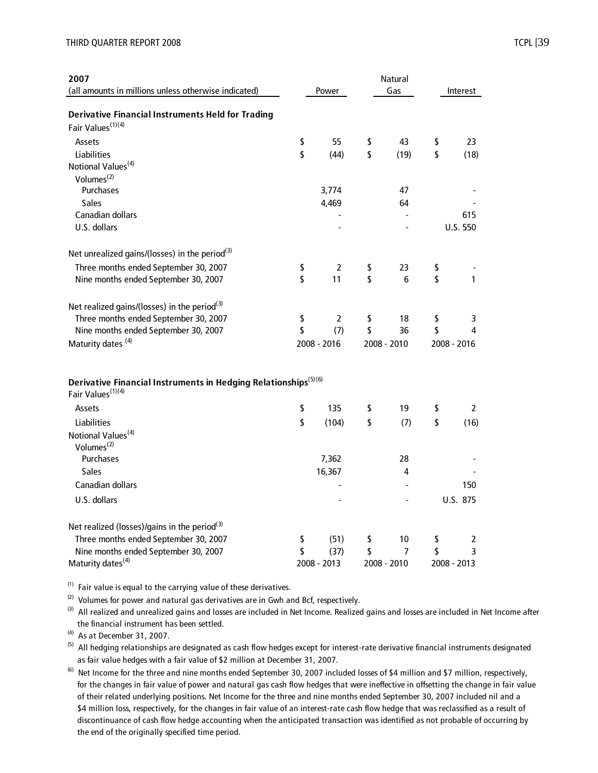| 2007<br>(all amounts in millions unless otherwise indicated)                                                 | Power       | Natural<br>Gas | Interest        |
|--------------------------------------------------------------------------------------------------------------|-------------|----------------|-----------------|
| <b>Derivative Financial Instruments Held for Trading</b>                                                     |             |                |                 |
| Fair Values <sup>(1)(4)</sup>                                                                                |             |                |                 |
| Assets                                                                                                       | \$<br>55    | \$<br>43       | \$<br>23        |
| Liabilities                                                                                                  | \$<br>(44)  | \$<br>(19)     | \$<br>(18)      |
| Notional Values <sup>(4)</sup>                                                                               |             |                |                 |
| Volumes <sup>(2)</sup>                                                                                       |             |                |                 |
| Purchases                                                                                                    | 3,774       | 47             |                 |
| <b>Sales</b><br>Canadian dollars                                                                             | 4,469       | 64             |                 |
| U.S. dollars                                                                                                 |             |                | 615<br>U.S. 550 |
|                                                                                                              |             |                |                 |
| Net unrealized gains/(losses) in the period <sup>(3)</sup>                                                   |             |                |                 |
| Three months ended September 30, 2007                                                                        | \$<br>2     | \$<br>23       | \$              |
| Nine months ended September 30, 2007                                                                         | \$<br>11    | \$<br>6        | \$<br>1         |
| Net realized gains/(losses) in the period <sup>(3)</sup>                                                     |             |                |                 |
| Three months ended September 30, 2007                                                                        | \$<br>2     | \$<br>18       | \$<br>3         |
| Nine months ended September 30, 2007                                                                         | \$<br>(7)   | \$<br>36       | \$<br>4         |
| Maturity dates <sup>(4)</sup>                                                                                | 2008 - 2016 | 2008 - 2010    | 2008 - 2016     |
| Derivative Financial Instruments in Hedging Relationships <sup>(5)(6)</sup><br>Fair Values <sup>(1)(4)</sup> |             |                |                 |
| Assets                                                                                                       | \$<br>135   | \$<br>19       | \$<br>2         |
| Liabilities                                                                                                  | \$<br>(104) | \$<br>(7)      | \$<br>(16)      |
| Notional Values <sup>(4)</sup><br>Volumes <sup>(2)</sup>                                                     |             |                |                 |
| Purchases                                                                                                    | 7,362       | 28             |                 |
| <b>Sales</b>                                                                                                 | 16,367      | 4              |                 |
| Canadian dollars                                                                                             |             |                | 150             |
| U.S. dollars                                                                                                 |             |                | U.S. 875        |
| Net realized (losses)/gains in the period <sup>(3)</sup>                                                     |             |                |                 |
| Three months ended September 30, 2007                                                                        | \$<br>(51)  | \$<br>10       | \$<br>2         |
| Nine months ended September 30, 2007                                                                         | \$<br>(37)  | \$<br>7        | \$<br>3         |
| Maturity dates <sup>(4)</sup>                                                                                | 2008 - 2013 | 2008 - 2010    | 2008 - 2013     |

 $(1)$  Fair value is equal to the carrying value of these derivatives.

 $(2)$  Volumes for power and natural gas derivatives are in Gwh and Bcf, respectively.

 the financial instrument has been settled. <sup>(3)</sup> All realized and unrealized gains and losses are included in Net Income. Realized gains and losses are included in Net Income after

 $(4)$  As at December 31, 2007.

 as fair value hedges with a fair value of \$2 million at December 31, 2007.  $(5)$  All hedging relationships are designated as cash flow hedges except for interest-rate derivative financial instruments designated

 for the changes in fair value of power and natural gas cash flow hedges that were ineffective in offsetting the change in fair value of their related underlying positions. Net Income for the three and nine months ended September 30, 2007 included nil and a \$4 million loss, respectively, for the changes in fair value of an interest-rate cash flow hedge that was reclassified as a result of discontinuance of cash flow hedge accounting when the anticipated transaction was identified as not probable of occurring by the end of the originally specified time period. <sup>(6)</sup> Net Income for the three and nine months ended September 30, 2007 included losses of \$4 million and \$7 million, respectively,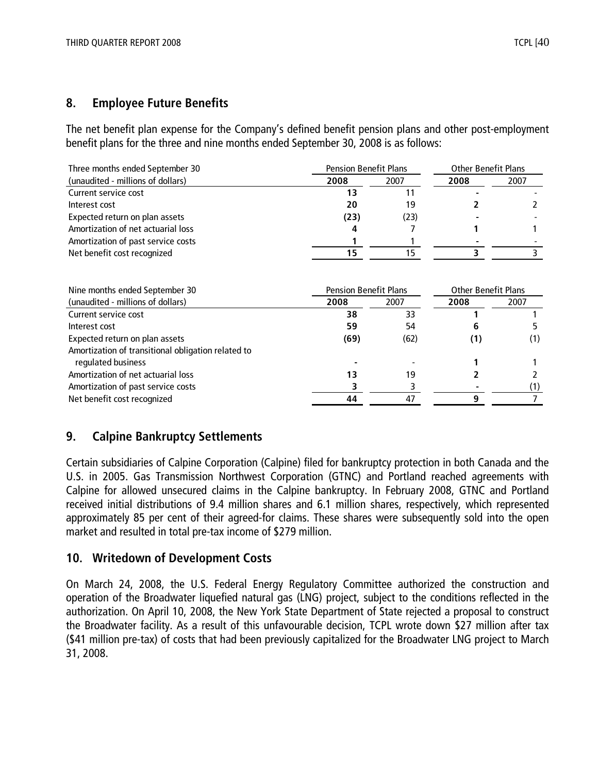## **8. Employee Future Benefits**

The net benefit plan expense for the Company's defined benefit pension plans and other post-employment benefit plans for the three and nine months ended September 30, 2008 is as follows:

| Three months ended September 30                    |                              | <b>Pension Benefit Plans</b> |                            | <b>Other Benefit Plans</b> |  |  |
|----------------------------------------------------|------------------------------|------------------------------|----------------------------|----------------------------|--|--|
| (unaudited - millions of dollars)                  | 2008                         | 2007                         | 2008                       | 2007                       |  |  |
| Current service cost                               | 13                           | 11                           |                            |                            |  |  |
| Interest cost                                      | 20                           | 19                           |                            |                            |  |  |
| Expected return on plan assets                     | (23)                         | (23)                         |                            |                            |  |  |
| Amortization of net actuarial loss                 |                              |                              |                            |                            |  |  |
| Amortization of past service costs                 |                              |                              |                            |                            |  |  |
| Net benefit cost recognized                        | 15                           | 15                           | 3                          |                            |  |  |
|                                                    |                              |                              |                            |                            |  |  |
| Nine months ended September 30                     | <b>Pension Benefit Plans</b> |                              | <b>Other Benefit Plans</b> |                            |  |  |
| (unaudited - millions of dollars)                  | 2008                         | 2007                         | 2008                       | 2007                       |  |  |
| Current service cost<br>Interest cost              | 38<br>59                     | 33<br>54                     | 6                          |                            |  |  |
| Expected return on plan assets                     | (69)                         | (62)                         | (1)                        | (1)                        |  |  |
| Amortization of transitional obligation related to |                              |                              |                            |                            |  |  |
| regulated business                                 |                              |                              |                            |                            |  |  |
| Amortization of net actuarial loss                 | 13                           | 19                           |                            |                            |  |  |
| Amortization of past service costs                 |                              | 3                            |                            | (1)                        |  |  |

# **9. Calpine Bankruptcy Settlements**

Certain subsidiaries of Calpine Corporation (Calpine) filed for bankruptcy protection in both Canada and the U.S. in 2005. Gas Transmission Northwest Corporation (GTNC) and Portland reached agreements with Calpine for allowed unsecured claims in the Calpine bankruptcy. In February 2008, GTNC and Portland received initial distributions of 9.4 million shares and 6.1 million shares, respectively, which represented approximately 85 per cent of their agreed-for claims. These shares were subsequently sold into the open market and resulted in total pre-tax income of \$279 million.

## **10. Writedown of Development Costs**

On March 24, 2008, the U.S. Federal Energy Regulatory Committee authorized the construction and operation of the Broadwater liquefied natural gas (LNG) project, subject to the conditions reflected in the authorization. On April 10, 2008, the New York State Department of State rejected a proposal to construct the Broadwater facility. As a result of this unfavourable decision, TCPL wrote down \$27 million after tax (\$41 million pre-tax) of costs that had been previously capitalized for the Broadwater LNG project to March 31, 2008.